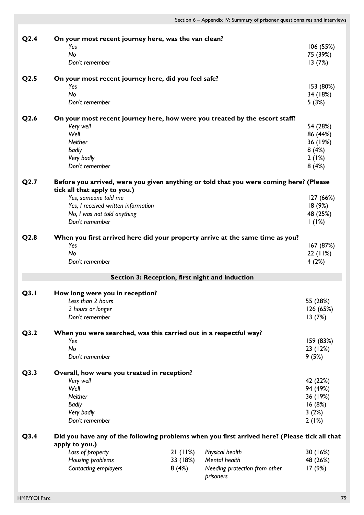| Q2.4             | On your most recent journey here, was the van clean?                                                                   |          |                               |           |
|------------------|------------------------------------------------------------------------------------------------------------------------|----------|-------------------------------|-----------|
|                  | Yes                                                                                                                    |          |                               | 106 (55%) |
|                  | No                                                                                                                     |          |                               | 75 (39%)  |
|                  | Don't remember                                                                                                         |          |                               | 13(7%)    |
| Q <sub>2.5</sub> | On your most recent journey here, did you feel safe?                                                                   |          |                               |           |
|                  | Yes                                                                                                                    |          |                               | 153 (80%) |
|                  | No                                                                                                                     |          |                               | 34 (18%)  |
|                  | Don't remember                                                                                                         |          |                               | 5(3%)     |
| Q2.6             | On your most recent journey here, how were you treated by the escort staff?                                            |          |                               |           |
|                  | Very well                                                                                                              |          |                               | 54 (28%)  |
|                  | Well                                                                                                                   |          |                               | 86 (44%)  |
|                  | <b>Neither</b>                                                                                                         |          |                               | 36 (19%)  |
|                  | <b>Badly</b>                                                                                                           |          |                               | 8(4%)     |
|                  | Very badly                                                                                                             |          |                               | 2(1%)     |
|                  | Don't remember                                                                                                         |          |                               | 8(4%)     |
| Q2.7             | Before you arrived, were you given anything or told that you were coming here? (Please<br>tick all that apply to you.) |          |                               |           |
|                  | Yes, someone told me                                                                                                   |          |                               | 127 (66%) |
|                  | Yes, I received written information                                                                                    |          |                               | 18(9%)    |
|                  | No, I was not told anything                                                                                            |          |                               | 48 (25%)  |
|                  | Don't remember                                                                                                         |          |                               | 1(1%)     |
|                  |                                                                                                                        |          |                               |           |
| Q2.8             | When you first arrived here did your property arrive at the same time as you?                                          |          |                               |           |
|                  | Yes                                                                                                                    |          |                               | 167 (87%) |
|                  | No                                                                                                                     |          |                               | 22(11%)   |
|                  | Don't remember                                                                                                         |          |                               | 4(2%)     |
|                  | Section 3: Reception, first night and induction                                                                        |          |                               |           |
| Q3.1             | How long were you in reception?                                                                                        |          |                               |           |
|                  | Less than 2 hours                                                                                                      |          |                               | 55 (28%)  |
|                  | 2 hours or longer                                                                                                      |          |                               | 126 (65%) |
|                  | Don't remember                                                                                                         |          |                               | 13(7%)    |
| Q3.2             | When you were searched, was this carried out in a respectful way?                                                      |          |                               |           |
|                  | Yes                                                                                                                    |          |                               | 159 (83%) |
|                  | No                                                                                                                     |          |                               | 23 (12%)  |
|                  | Don't remember                                                                                                         |          |                               | 9(5%)     |
| Q3.3             | Overall, how were you treated in reception?                                                                            |          |                               |           |
|                  | Very well                                                                                                              |          |                               | 42 (22%)  |
|                  | Well                                                                                                                   |          |                               | 94 (49%)  |
|                  | <b>Neither</b>                                                                                                         |          |                               | 36 (19%)  |
|                  | <b>Badly</b>                                                                                                           |          |                               | 16(8%)    |
|                  | Very badly                                                                                                             |          |                               | 3(2%)     |
|                  | Don't remember                                                                                                         |          |                               | 2(1%)     |
| Q3.4             | Did you have any of the following problems when you first arrived here? (Please tick all that                          |          |                               |           |
|                  | apply to you.)                                                                                                         |          |                               |           |
|                  | Loss of property                                                                                                       | 21(11%)  | <b>Physical health</b>        | 30 (16%)  |
|                  | Housing problems                                                                                                       | 33 (18%) | Mental health                 | 48 (26%)  |
|                  | Contacting employers                                                                                                   | 8(4%)    | Needing protection from other | 17(9%)    |
|                  |                                                                                                                        |          | prisoners                     |           |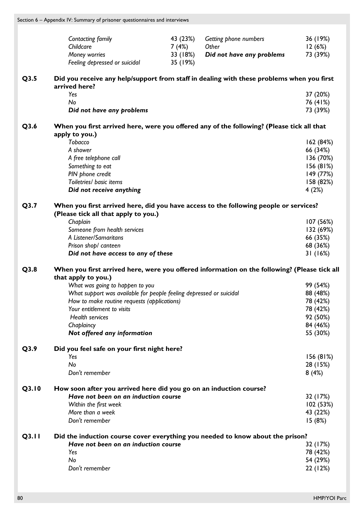Section 6 – Appendix IV: Summary of prisoner questionnaires and interviews

|       | Contacting family<br>Childcare<br>Money worries<br>Feeling depressed or suicidal                                       | 43 (23%)<br>7 (4%)<br>33 (18%)<br>35 (19%) | Getting phone numbers<br>Other<br>Did not have any problems | 36 (19%)<br>12(6%)<br>73 (39%) |
|-------|------------------------------------------------------------------------------------------------------------------------|--------------------------------------------|-------------------------------------------------------------|--------------------------------|
| Q3.5  | Did you receive any help/support from staff in dealing with these problems when you first<br>arrived here?             |                                            |                                                             |                                |
|       | Yes                                                                                                                    |                                            |                                                             | 37 (20%)                       |
|       | No                                                                                                                     |                                            |                                                             | 76 (41%)                       |
|       | Did not have any problems                                                                                              |                                            |                                                             | 73 (39%)                       |
| Q3.6  | When you first arrived here, were you offered any of the following? (Please tick all that                              |                                            |                                                             |                                |
|       | apply to you.)<br>Tobacco                                                                                              |                                            |                                                             |                                |
|       | A shower                                                                                                               |                                            |                                                             | 162(84%)<br>66 (34%)           |
|       | A free telephone call                                                                                                  |                                            |                                                             | 136 (70%)                      |
|       | Something to eat                                                                                                       |                                            |                                                             | 156(81%)                       |
|       | PIN phone credit                                                                                                       |                                            |                                                             | 149 (77%)                      |
|       | Toiletries/ basic items                                                                                                |                                            |                                                             | 158 (82%)                      |
|       | Did not receive anything                                                                                               |                                            |                                                             | 4(2%)                          |
| Q3.7  | When you first arrived here, did you have access to the following people or services?                                  |                                            |                                                             |                                |
|       | (Please tick all that apply to you.)                                                                                   |                                            |                                                             |                                |
|       | Chaplain<br>Someone from health services                                                                               |                                            |                                                             | 107 (56%)<br>132 (69%)         |
|       | A Listener/Samaritans                                                                                                  |                                            |                                                             | 66 (35%)                       |
|       | Prison shop/ canteen                                                                                                   |                                            |                                                             | 68 (36%)                       |
|       | Did not have access to any of these                                                                                    |                                            |                                                             | 31(16%)                        |
| Q3.8  | When you first arrived here, were you offered information on the following? (Please tick all                           |                                            |                                                             |                                |
|       | that apply to you.)                                                                                                    |                                            |                                                             |                                |
|       | What was going to happen to you                                                                                        |                                            |                                                             | 99 (54%)                       |
|       | What support was available for people feeling depressed or suicidal                                                    |                                            |                                                             | 88 (48%)                       |
|       | How to make routine requests (applications)                                                                            |                                            |                                                             | 78 (42%)                       |
|       | Your entitlement to visits<br>Health services                                                                          |                                            |                                                             | 78 (42%)                       |
|       | Chaplaincy                                                                                                             |                                            |                                                             | 92 (50%)<br>84 (46%)           |
|       | Not offered any information                                                                                            |                                            |                                                             | 55 (30%)                       |
| Q3.9  | Did you feel safe on your first night here?                                                                            |                                            |                                                             |                                |
|       | Yes                                                                                                                    |                                            |                                                             | 156(81%)                       |
|       | No                                                                                                                     |                                            |                                                             | 28 (15%)                       |
|       | Don't remember                                                                                                         |                                            |                                                             | 8(4%)                          |
| Q3.10 | How soon after you arrived here did you go on an induction course?                                                     |                                            |                                                             |                                |
|       | Have not been on an induction course                                                                                   |                                            |                                                             | 32 (17%)                       |
|       | Within the first week                                                                                                  |                                            |                                                             | 102(53%)                       |
|       | More than a week<br>Don't remember                                                                                     |                                            |                                                             | 43 (22%)<br>15(8%)             |
|       |                                                                                                                        |                                            |                                                             |                                |
| Q3.11 | Did the induction course cover everything you needed to know about the prison?<br>Have not been on an induction course |                                            |                                                             |                                |
|       | Yes                                                                                                                    |                                            |                                                             | 32 (17%)<br>78 (42%)           |
|       | No                                                                                                                     |                                            |                                                             | 54 (29%)                       |
|       | Don't remember                                                                                                         |                                            |                                                             | 22 (12%)                       |
|       |                                                                                                                        |                                            |                                                             |                                |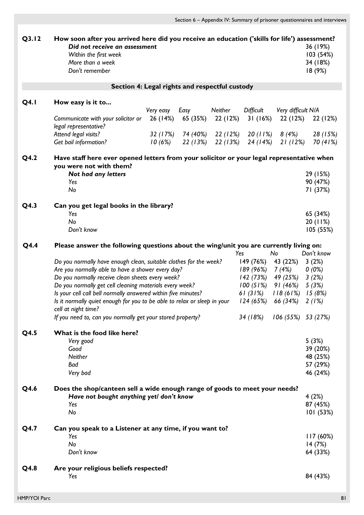| Q3.12       | How soon after you arrived here did you receive an education ('skills for life') assessment?<br>Did not receive an assessment<br>Within the first week<br>More than a week<br>Don't remember                                                                                                                                                                                                                                                                            |                     |          |          |                                                                                                                                       |                                                              | 36 (19%)<br>103(54%)<br>34 (18%)<br>18(9%)                 |
|-------------|-------------------------------------------------------------------------------------------------------------------------------------------------------------------------------------------------------------------------------------------------------------------------------------------------------------------------------------------------------------------------------------------------------------------------------------------------------------------------|---------------------|----------|----------|---------------------------------------------------------------------------------------------------------------------------------------|--------------------------------------------------------------|------------------------------------------------------------|
|             | Section 4: Legal rights and respectful custody                                                                                                                                                                                                                                                                                                                                                                                                                          |                     |          |          |                                                                                                                                       |                                                              |                                                            |
| <b>Q4.1</b> | How easy is it to                                                                                                                                                                                                                                                                                                                                                                                                                                                       | Very easy           | Easy     | Neither  | Difficult                                                                                                                             | Very difficult N/A                                           |                                                            |
|             | Communicate with your solicitor or<br>legal representative?                                                                                                                                                                                                                                                                                                                                                                                                             | 26 (14%)            | 65 (35%) | 22 (12%) | 31(16%)                                                                                                                               | 22 (12%)                                                     | 22 (12%)                                                   |
|             | Attend legal visits?<br>Get bail information?                                                                                                                                                                                                                                                                                                                                                                                                                           | 32 (17%)<br>10 (6%) |          |          | 74 (40%) 22 (12%) 20 (11%)<br>$22(13%)$ $22(13%)$ $24(14%)$                                                                           | 8 (4%)<br>21 (12%)                                           | 28 (15%)<br>70 (41%)                                       |
| Q4.2        | Have staff here ever opened letters from your solicitor or your legal representative when<br>you were not with them?<br>Not had any letters                                                                                                                                                                                                                                                                                                                             |                     |          |          |                                                                                                                                       |                                                              | 29 (15%)                                                   |
|             | Yes<br>No                                                                                                                                                                                                                                                                                                                                                                                                                                                               |                     |          |          |                                                                                                                                       |                                                              | 90 (47%)<br>71 (37%)                                       |
| Q4.3        | Can you get legal books in the library?<br>Yes<br>No<br>Don't know                                                                                                                                                                                                                                                                                                                                                                                                      |                     |          |          |                                                                                                                                       |                                                              | 65 (34%)<br>20(11%)<br>105(55%)                            |
| Q4.4        | Please answer the following questions about the wing/unit you are currently living on:                                                                                                                                                                                                                                                                                                                                                                                  |                     |          |          |                                                                                                                                       |                                                              |                                                            |
|             | Do you normally have enough clean, suitable clothes for the week?<br>Are you normally able to have a shower every day?<br>Do you normally receive clean sheets every week?<br>Do you normally get cell cleaning materials every week?<br>Is your cell call bell normally answered within five minutes?<br>Is it normally quiet enough for you to be able to relax or sleep in your<br>cell at night time?<br>If you need to, can you normally get your stored property? |                     |          |          | Yes<br>149 (76%)<br>189 (96%)<br>142 (73%)<br>$100(51\%)$ 91 (46%)<br>61 (31%) $118(61\%)$ 15 (8%)<br>$124(65%)$ 66 (34%)<br>34 (18%) | No<br>43 (22%)<br>7 (4%)<br>49 (25%)<br>$106(55\%)$ 53 (27%) | Don't know<br>3(2%)<br>$0(0\%)$<br>3(2%)<br>5(3%)<br>2(1%) |
| Q4.5        | What is the food like here?<br>Very good<br>Good<br><b>Neither</b><br>Bad<br>Very bad                                                                                                                                                                                                                                                                                                                                                                                   |                     |          |          |                                                                                                                                       |                                                              | 5(3%)<br>39 (20%)<br>48 (25%)<br>57 (29%)<br>46 (24%)      |
| Q4.6        | Does the shop/canteen sell a wide enough range of goods to meet your needs?<br>Have not bought anything yet/ don't know<br>Yes<br>No                                                                                                                                                                                                                                                                                                                                    |                     |          |          |                                                                                                                                       |                                                              | 4(2%)<br>87 (45%)<br>101(53%)                              |
| Q4.7        | Can you speak to a Listener at any time, if you want to?<br>Yes<br>No<br>Don't know                                                                                                                                                                                                                                                                                                                                                                                     |                     |          |          |                                                                                                                                       |                                                              | 117(60%)<br>14(7%)<br>64 (33%)                             |
| Q4.8        | Are your religious beliefs respected?<br>Yes                                                                                                                                                                                                                                                                                                                                                                                                                            |                     |          |          |                                                                                                                                       |                                                              | 84 (43%)                                                   |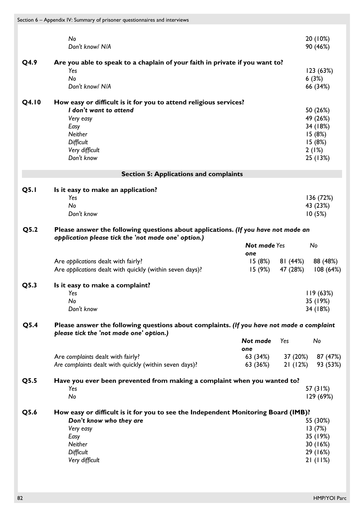|             | No<br>Don't know/ N/A                                                                                                                                                        |                            |                                 | 20 (10%)<br>90 (46%)                                                      |
|-------------|------------------------------------------------------------------------------------------------------------------------------------------------------------------------------|----------------------------|---------------------------------|---------------------------------------------------------------------------|
| Q4.9        | Are you able to speak to a chaplain of your faith in private if you want to?<br>Yes<br>No<br>Don't know/ N/A                                                                 |                            |                                 | 123 (63%)<br>6(3%)<br>66 (34%)                                            |
| Q4.10       | How easy or difficult is it for you to attend religious services?<br>I don't want to attend<br>Very easy<br>Easy<br>Neither<br>Difficult<br>Very difficult<br>Don't know     |                            |                                 | 50 (26%)<br>49 (26%)<br>34 (18%)<br>15(8%)<br>15(8%)<br>2(1%)<br>25 (13%) |
|             | <b>Section 5: Applications and complaints</b>                                                                                                                                |                            |                                 |                                                                           |
| <b>Q5.1</b> | Is it easy to make an application?<br>Yes<br>No<br>Don't know                                                                                                                |                            |                                 | 136 (72%)<br>43 (23%)<br>10(5%)                                           |
| Q5.2        | Please answer the following questions about applications. (If you have not made an                                                                                           |                            |                                 |                                                                           |
|             | application please tick the 'not made one' option.)                                                                                                                          | <b>Not made Yes</b><br>one |                                 | No                                                                        |
|             | Are applications dealt with fairly?<br>Are applications dealt with quickly (within seven days)?                                                                              | I5 (9%)                    | $15(8%)$ 81 $(44%)$<br>47 (28%) | 88 (48%)<br>108(64%)                                                      |
| Q5.3        | Is it easy to make a complaint?<br>Yes<br>No<br>Don't know                                                                                                                   |                            |                                 | 119(63%)<br>35 (19%)<br>34 (18%)                                          |
| Q5.4        | Please answer the following questions about complaints. (If you have not made a complaint<br>please tick the 'not made one' option.)                                         |                            |                                 |                                                                           |
|             |                                                                                                                                                                              | Not made<br>one            | Yes                             | No                                                                        |
|             | Are complaints dealt with fairly?<br>Are complaints dealt with quickly (within seven days)?                                                                                  | 63 (34%)<br>63 (36%)       | 21(12%)                         | 37 (20%) 87 (47%)<br>93 (53%)                                             |
| Q5.5        | Have you ever been prevented from making a complaint when you wanted to?<br>Yes<br>No                                                                                        |                            |                                 | 57 (31%)<br>129 (69%)                                                     |
| Q5.6        | How easy or difficult is it for you to see the Independent Monitoring Board (IMB)?<br>Don't know who they are<br>Very easy<br>Easy<br>Neither<br>Difficult<br>Very difficult |                            |                                 | 55 (30%)<br>13(7%)<br>35 (19%)<br>30(16%)<br>29 (16%)<br>21(11%)          |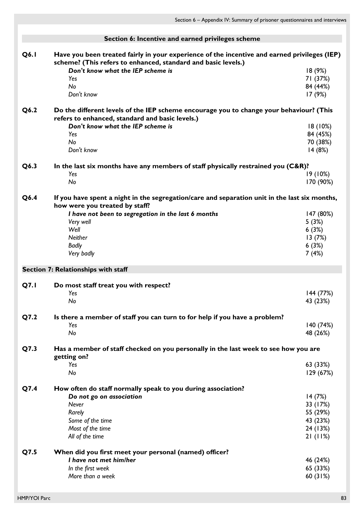|             | Section 6: Incentive and earned privileges scheme                                                                                                             |                                |
|-------------|---------------------------------------------------------------------------------------------------------------------------------------------------------------|--------------------------------|
| Q6.1        | Have you been treated fairly in your experience of the incentive and earned privileges (IEP)<br>scheme? (This refers to enhanced, standard and basic levels.) |                                |
|             | Don't know what the IEP scheme is<br>Yes<br>No                                                                                                                | 18(9%)<br>71 (37%)<br>84 (44%) |
|             | Don't know                                                                                                                                                    | 17(9%)                         |
| Q6.2        | Do the different levels of the IEP scheme encourage you to change your behaviour? (This<br>refers to enhanced, standard and basic levels.)                    |                                |
|             | Don't know what the IEP scheme is                                                                                                                             | 18(10%)                        |
|             | Yes                                                                                                                                                           | 84 (45%)                       |
|             | No                                                                                                                                                            | 70 (38%)                       |
|             | Don't know                                                                                                                                                    | 14(8%)                         |
| Q6.3        | In the last six months have any members of staff physically restrained you (C&R)?<br>Yes                                                                      | 19(10%)                        |
|             | No                                                                                                                                                            | 170 (90%)                      |
|             |                                                                                                                                                               |                                |
| Q6.4        | If you have spent a night in the segregation/care and separation unit in the last six months,<br>how were you treated by staff?                               |                                |
|             | I have not been to segregation in the last 6 months                                                                                                           | 147 (80%)                      |
|             | Very well                                                                                                                                                     | 5(3%)                          |
|             | Well                                                                                                                                                          | 6(3%)                          |
|             | Neither                                                                                                                                                       | 13(7%)                         |
|             | <b>Badly</b>                                                                                                                                                  | 6(3%)                          |
|             | Very badly                                                                                                                                                    | 7(4%)                          |
|             | Section 7: Relationships with staff                                                                                                                           |                                |
| <b>Q7.1</b> | Do most staff treat you with respect?                                                                                                                         |                                |
|             | Yes                                                                                                                                                           | 144 (77%)                      |
|             | No                                                                                                                                                            | 43 (23%)                       |
| Q7.2        | Is there a member of staff you can turn to for help if you have a problem?<br>Yes                                                                             | 140 (74%)                      |
|             | No                                                                                                                                                            | 48 (26%)                       |
|             |                                                                                                                                                               |                                |
| Q7.3        | Has a member of staff checked on you personally in the last week to see how you are<br>getting on?                                                            |                                |
|             | Yes<br>No                                                                                                                                                     | 63 (33%)                       |
|             |                                                                                                                                                               | 129 (67%)                      |
| Q7.4        | How often do staff normally speak to you during association?                                                                                                  |                                |
|             | Do not go on association                                                                                                                                      | 14(7%)                         |
|             | <b>Never</b>                                                                                                                                                  | 33 (17%)                       |
|             | Rarely                                                                                                                                                        | 55 (29%)                       |
|             | Some of the time                                                                                                                                              | 43 (23%)                       |
|             | Most of the time                                                                                                                                              | 24 (13%)                       |
|             | All of the time                                                                                                                                               | 21(11%)                        |
| Q7.5        | When did you first meet your personal (named) officer?                                                                                                        |                                |
|             | I have not met him/her                                                                                                                                        | 46 (24%)                       |
|             | In the first week                                                                                                                                             | 65 (33%)                       |
|             | More than a week                                                                                                                                              | 60 (31%)                       |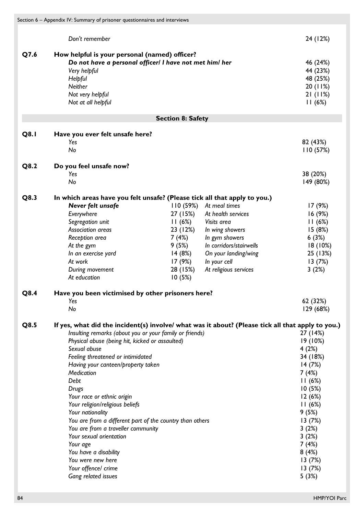|             | Section 6 - Appendix IV: Summary of prisoner questionnaires and interviews                        |                          |                         |           |
|-------------|---------------------------------------------------------------------------------------------------|--------------------------|-------------------------|-----------|
|             |                                                                                                   |                          |                         |           |
|             | Don't remember                                                                                    |                          |                         | 24 (12%)  |
| Q7.6        | How helpful is your personal (named) officer?                                                     |                          |                         |           |
|             | Do not have a personal officer/ I have not met him/ her                                           |                          |                         | 46 (24%)  |
|             | Very helpful                                                                                      |                          |                         | 44 (23%)  |
|             | Helpful                                                                                           |                          |                         | 48 (25%)  |
|             | Neither                                                                                           |                          |                         | 20(11%)   |
|             |                                                                                                   |                          |                         | 21(11%)   |
|             | Not very helpful                                                                                  |                          |                         |           |
|             | Not at all helpful                                                                                |                          |                         | 11(6%)    |
|             |                                                                                                   | <b>Section 8: Safety</b> |                         |           |
| <b>Q8.1</b> | Have you ever felt unsafe here?                                                                   |                          |                         |           |
|             | Yes                                                                                               |                          |                         | 82 (43%)  |
|             | No                                                                                                |                          |                         | 110(57%)  |
| Q8.2        | Do you feel unsafe now?                                                                           |                          |                         |           |
|             | Yes                                                                                               |                          |                         | 38 (20%)  |
|             | No                                                                                                |                          |                         | 149 (80%) |
| Q8.3        | In which areas have you felt unsafe? (Please tick all that apply to you.)                         |                          |                         |           |
|             |                                                                                                   |                          |                         |           |
|             | Never felt unsafe                                                                                 | 110(59%)                 | At meal times           | 17 (9%)   |
|             | Everywhere                                                                                        | 27 (15%)                 | At health services      | 16(9%)    |
|             | Segregation unit                                                                                  | 11(6%)                   | Visits area             | 11(6%)    |
|             | Association areas                                                                                 | 23 (12%)                 | In wing showers         | 15(8%)    |
|             | Reception area                                                                                    | 7 (4%)                   | In gym showers          | 6(3%)     |
|             | At the gym                                                                                        | 9 (5%)                   | In corridors/stairwells | 18(10%)   |
|             | In an exercise yard                                                                               | 14 (8%)                  | On your landing/wing    | 25 (13%)  |
|             | At work                                                                                           | 17 (9%)                  | In your cell            | 13(7%)    |
|             | During movement                                                                                   | 28 (15%)                 | At religious services   | 3(2%)     |
|             | At education                                                                                      | 10(5%)                   |                         |           |
| Q8.4        | Have you been victimised by other prisoners here?                                                 |                          |                         |           |
|             | Yes                                                                                               |                          |                         | 62 (32%)  |
|             | No                                                                                                |                          |                         | 129 (68%) |
| Q8.5        | If yes, what did the incident(s) involve/ what was it about? (Please tick all that apply to you.) |                          |                         |           |
|             | Insulting remarks (about you or your family or friends)                                           |                          |                         | 27 (14%)  |
|             | Physical abuse (being hit, kicked or assaulted)                                                   |                          |                         | 19 (10%)  |
|             | Sexual abuse                                                                                      |                          |                         | 4(2%)     |
|             | Feeling threatened or intimidated                                                                 |                          |                         | 34 (18%)  |
|             | Having your canteen/property taken                                                                |                          |                         | 14(7%)    |
|             | Medication                                                                                        |                          |                         | 7(4%)     |
|             | Debt                                                                                              |                          |                         | 11(6%)    |
|             | Drugs                                                                                             |                          |                         | 10(5%)    |
|             | Your race or ethnic origin                                                                        |                          |                         | 12(6%)    |
|             | Your religion/religious beliefs                                                                   |                          |                         | 11(6%)    |
|             |                                                                                                   |                          |                         |           |
|             | Your nationality                                                                                  |                          |                         | 9(5%)     |
|             | You are from a different part of the country than others                                          |                          |                         | 13(7%)    |
|             | You are from a traveller community                                                                |                          |                         | 3(2%)     |
|             | Your sexual orientation                                                                           |                          |                         | 3(2%)     |
|             | Your age                                                                                          |                          |                         | 7(4%)     |
|             | You have a disability                                                                             |                          |                         | 8(4%)     |
|             | You were new here                                                                                 |                          |                         | 13(7%)    |
|             | Your offence/ crime                                                                               |                          |                         | 13(7%)    |
|             | Gang related issues                                                                               |                          |                         | 5(3%)     |
|             |                                                                                                   |                          |                         |           |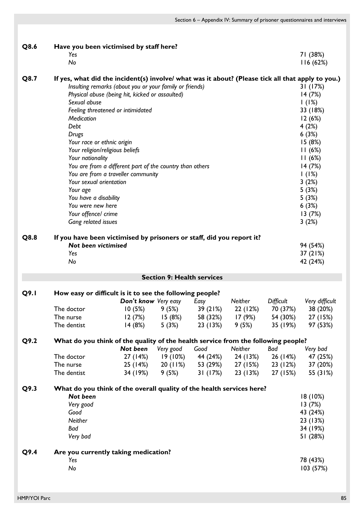| Q8.6 | Have you been victimised by staff here?<br>Yes<br>No                                                                                                                                                                                                                                                                                                                            |                                                                                                                                                                                                                                                   |                                   |                      |                 |                               | 71 (38%)<br>116(62%)                                                                                                                                                        |
|------|---------------------------------------------------------------------------------------------------------------------------------------------------------------------------------------------------------------------------------------------------------------------------------------------------------------------------------------------------------------------------------|---------------------------------------------------------------------------------------------------------------------------------------------------------------------------------------------------------------------------------------------------|-----------------------------------|----------------------|-----------------|-------------------------------|-----------------------------------------------------------------------------------------------------------------------------------------------------------------------------|
| Q8.7 | If yes, what did the incident(s) involve/ what was it about? (Please tick all that apply to you.)<br>Sexual abuse<br>Medication<br>Debt<br><b>Drugs</b><br>Your race or ethnic origin<br>Your religion/religious beliefs<br>Your nationality<br>Your sexual orientation<br>Your age<br>You have a disability<br>You were new here<br>Your offence/ crime<br>Gang related issues | Insulting remarks (about you or your family or friends)<br>Physical abuse (being hit, kicked or assaulted)<br>Feeling threatened or intimidated<br>You are from a different part of the country than others<br>You are from a traveller community |                                   |                      |                 |                               | 31(17%)<br>14 (7%)<br>1(1%)<br>33 (18%)<br>12(6%)<br>4(2%)<br>6(3%)<br>15(8%)<br>11(6%)<br>11(6%)<br>14(7%)<br>1(1%)<br>3(2%)<br>5(3%)<br>5(3%)<br>6(3%)<br>13(7%)<br>3(2%) |
| Q8.8 | If you have been victimised by prisoners or staff, did you report it?<br>Not been victimised<br>Yes<br>No                                                                                                                                                                                                                                                                       |                                                                                                                                                                                                                                                   |                                   |                      |                 |                               | 94 (54%)<br>37 (21%)<br>42 (24%)                                                                                                                                            |
|      |                                                                                                                                                                                                                                                                                                                                                                                 |                                                                                                                                                                                                                                                   | <b>Section 9: Health services</b> |                      |                 |                               |                                                                                                                                                                             |
| Q9.1 | How easy or difficult is it to see the following people?                                                                                                                                                                                                                                                                                                                        |                                                                                                                                                                                                                                                   |                                   |                      |                 |                               |                                                                                                                                                                             |
|      |                                                                                                                                                                                                                                                                                                                                                                                 | Don't know Very easy                                                                                                                                                                                                                              |                                   | Easy                 | Neither         | Difficult                     | Very difficult                                                                                                                                                              |
|      | The doctor                                                                                                                                                                                                                                                                                                                                                                      | 10(5%)                                                                                                                                                                                                                                            | 9(5%)                             | 39(21%)              | 22 (12%)        | 70 (37%)                      | 38 (20%)                                                                                                                                                                    |
|      | The nurse<br>The dentist                                                                                                                                                                                                                                                                                                                                                        | 12 (7%)<br>14(8%)                                                                                                                                                                                                                                 | 15(8%)<br>5(3%)                   | 58 (32%)<br>23 (13%) | 17(9%)<br>9(5%) | 54 (30%)<br>35 (19%)          | 27 (15%)<br>97 (53%)                                                                                                                                                        |
| Q9.2 | What do you think of the quality of the health service from the following people?                                                                                                                                                                                                                                                                                               |                                                                                                                                                                                                                                                   |                                   |                      |                 |                               |                                                                                                                                                                             |
|      |                                                                                                                                                                                                                                                                                                                                                                                 | Not been                                                                                                                                                                                                                                          | Very good                         | Good                 | Neither         | Bad                           | Very bad                                                                                                                                                                    |
|      | The doctor                                                                                                                                                                                                                                                                                                                                                                      | 27 (14%)                                                                                                                                                                                                                                          | 19 (10%)                          | 44 (24%)             | 24 (13%)        | 26 (14%)                      | 47 (25%)                                                                                                                                                                    |
|      | The nurse<br>The dentist                                                                                                                                                                                                                                                                                                                                                        | 34 (19%)                                                                                                                                                                                                                                          | $25(14%)$ 20(11%)<br>9(5%)        | 53 (29%)<br>31 (17%) | 23 (13%)        | 27 (15%) 23 (12%)<br>27 (15%) | 37 (20%)<br>55 (31%)                                                                                                                                                        |
| Q9.3 | What do you think of the overall quality of the health services here?                                                                                                                                                                                                                                                                                                           |                                                                                                                                                                                                                                                   |                                   |                      |                 |                               |                                                                                                                                                                             |
|      | Not been                                                                                                                                                                                                                                                                                                                                                                        |                                                                                                                                                                                                                                                   |                                   |                      |                 |                               | 18(10%)                                                                                                                                                                     |
|      | Very good                                                                                                                                                                                                                                                                                                                                                                       |                                                                                                                                                                                                                                                   |                                   |                      |                 |                               | 13(7%)                                                                                                                                                                      |
|      | Good                                                                                                                                                                                                                                                                                                                                                                            |                                                                                                                                                                                                                                                   |                                   |                      |                 |                               | 43 (24%)                                                                                                                                                                    |
|      | Neither                                                                                                                                                                                                                                                                                                                                                                         |                                                                                                                                                                                                                                                   |                                   |                      |                 |                               | 23 (13%)                                                                                                                                                                    |
|      | Bad                                                                                                                                                                                                                                                                                                                                                                             |                                                                                                                                                                                                                                                   |                                   |                      |                 |                               | 34 (19%)                                                                                                                                                                    |
|      | Very bad                                                                                                                                                                                                                                                                                                                                                                        |                                                                                                                                                                                                                                                   |                                   |                      |                 |                               | 51 (28%)                                                                                                                                                                    |
| Q9.4 | Are you currently taking medication?                                                                                                                                                                                                                                                                                                                                            |                                                                                                                                                                                                                                                   |                                   |                      |                 |                               |                                                                                                                                                                             |
|      | Yes                                                                                                                                                                                                                                                                                                                                                                             |                                                                                                                                                                                                                                                   |                                   |                      |                 |                               | 78 (43%)                                                                                                                                                                    |
|      | No                                                                                                                                                                                                                                                                                                                                                                              |                                                                                                                                                                                                                                                   |                                   |                      |                 |                               | 103 (57%)                                                                                                                                                                   |
|      |                                                                                                                                                                                                                                                                                                                                                                                 |                                                                                                                                                                                                                                                   |                                   |                      |                 |                               |                                                                                                                                                                             |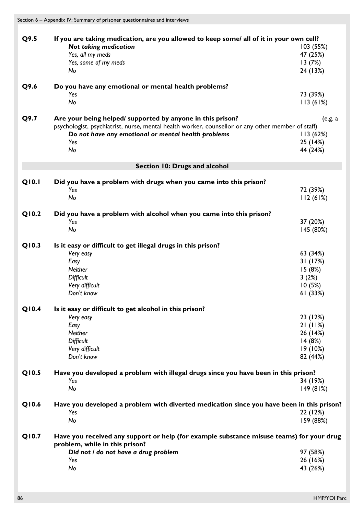| Q9.5  | If you are taking medication, are you allowed to keep some/ all of it in your own cell?           |           |
|-------|---------------------------------------------------------------------------------------------------|-----------|
|       | <b>Not taking medication</b>                                                                      | 103 (55%) |
|       | Yes, all my meds                                                                                  | 47 (25%)  |
|       |                                                                                                   |           |
|       | Yes, some of my meds                                                                              | 13(7%)    |
|       | No                                                                                                | 24 (13%)  |
|       |                                                                                                   |           |
| Q9.6  | Do you have any emotional or mental health problems?                                              |           |
|       | Yes                                                                                               | 73 (39%)  |
|       | No                                                                                                | 113(61%)  |
|       |                                                                                                   |           |
| Q9.7  | Are your being helped/ supported by anyone in this prison?                                        | (e.g. a   |
|       | psychologist, psychiatrist, nurse, mental health worker, counsellor or any other member of staff) |           |
|       | Do not have any emotional or mental health problems                                               | 113(62%)  |
|       | Yes                                                                                               | 25 (14%)  |
|       | No                                                                                                | 44 (24%)  |
|       |                                                                                                   |           |
|       | Section 10: Drugs and alcohol                                                                     |           |
|       |                                                                                                   |           |
| Q10.1 | Did you have a problem with drugs when you came into this prison?                                 |           |
|       | Yes                                                                                               | 72 (39%)  |
|       | No                                                                                                | 112(61%)  |
| Q10.2 |                                                                                                   |           |
|       | Did you have a problem with alcohol when you came into this prison?                               |           |
|       | Yes                                                                                               | 37 (20%)  |
|       | No                                                                                                | 145 (80%) |
| Q10.3 |                                                                                                   |           |
|       | Is it easy or difficult to get illegal drugs in this prison?                                      |           |
|       | Very easy                                                                                         | 63 (34%)  |
|       | Easy                                                                                              | 31 (17%)  |
|       | Neither                                                                                           | 15(8%)    |
|       | Difficult                                                                                         | 3(2%)     |
|       | Very difficult                                                                                    | 10(5%)    |
|       | Don't know                                                                                        | 61 (33%)  |
|       |                                                                                                   |           |
| Q10.4 | Is it easy or difficult to get alcohol in this prison?                                            |           |
|       | Very easy                                                                                         | 23 (12%)  |
|       | Easy                                                                                              | 21(11%)   |
|       | Neither                                                                                           | 26 (14%)  |
|       | Difficult                                                                                         | 14(8%)    |
|       | Very difficult                                                                                    | 19(10%)   |
|       | Don't know                                                                                        |           |
|       |                                                                                                   | 82 (44%)  |
| Q10.5 | Have you developed a problem with illegal drugs since you have been in this prison?               |           |
|       | Yes                                                                                               | 34 (19%)  |
|       | No                                                                                                | 149 (81%) |
|       |                                                                                                   |           |
| Q10.6 | Have you developed a problem with diverted medication since you have been in this prison?         |           |
|       | Yes                                                                                               | 22 (12%)  |
|       | No                                                                                                | 159 (88%) |
|       |                                                                                                   |           |
| Q10.7 | Have you received any support or help (for example substance misuse teams) for your drug          |           |
|       | problem, while in this prison?                                                                    |           |
|       | Did not / do not have a drug problem                                                              | 97 (58%)  |
|       |                                                                                                   |           |
|       | Yes                                                                                               | 26 (16%)  |
|       | No                                                                                                | 43 (26%)  |
|       |                                                                                                   |           |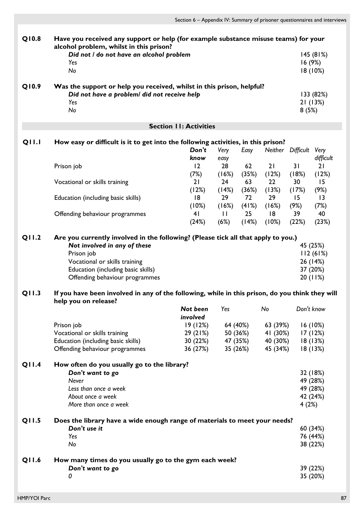| Q10.8        | alcohol problem, whilst in this prison?                                                         |                               | Have you received any support or help (for example substance misuse teams) for your |          |          |                   |                   |  |
|--------------|-------------------------------------------------------------------------------------------------|-------------------------------|-------------------------------------------------------------------------------------|----------|----------|-------------------|-------------------|--|
|              | Did not / do not have an alcohol problem                                                        |                               |                                                                                     |          |          |                   | 145(81%)          |  |
|              | Yes                                                                                             |                               |                                                                                     |          |          | 16 (9%)           |                   |  |
|              | No                                                                                              |                               |                                                                                     |          |          |                   | 18 (10%)          |  |
| Q10.9        | Was the support or help you received, whilst in this prison, helpful?                           |                               |                                                                                     |          |          |                   |                   |  |
|              | Did not have a problem/ did not receive help                                                    |                               | 133 (82%)                                                                           |          |          |                   |                   |  |
|              | Yes                                                                                             |                               |                                                                                     |          |          |                   | 21(13%)           |  |
|              | No                                                                                              |                               |                                                                                     |          |          | 8(5%)             |                   |  |
|              |                                                                                                 | <b>Section II: Activities</b> |                                                                                     |          |          |                   |                   |  |
|              |                                                                                                 |                               |                                                                                     |          |          |                   |                   |  |
| <b>QII.I</b> | How easy or difficult is it to get into the following activities, in this prison?               | Don't                         |                                                                                     |          |          | Neither Difficult |                   |  |
|              |                                                                                                 | know                          | Very                                                                                | Easy     |          |                   | Very<br>difficult |  |
|              | Prison job                                                                                      | 12                            | easy<br>28                                                                          | 62       | 21       | 31                | 21                |  |
|              |                                                                                                 | (7%)                          | (16%)                                                                               | (35%)    | (12%)    | (18%)             | (12%)             |  |
|              |                                                                                                 | 21                            |                                                                                     | 63       | 22       |                   | 15                |  |
|              | Vocational or skills training                                                                   |                               | 24                                                                                  |          |          | 30                |                   |  |
|              |                                                                                                 | (12%)                         | (14%)                                                                               | (36%)    | (13%)    | (17%)             | (9%)              |  |
|              | Education (including basic skills)                                                              | 18                            | 29                                                                                  | 72       | 29       | 15                | $\overline{13}$   |  |
|              |                                                                                                 | (10%)                         | (16%)                                                                               | (41%)    | (16%)    | (9%)              | (7%)              |  |
|              | Offending behaviour programmes                                                                  | 4 <sub>1</sub>                | $\mathbf{H}$                                                                        | 25       | 18       | 39                | 40                |  |
|              |                                                                                                 | (24%)                         | (6%)                                                                                | (14%)    | (10%)    | (22%)             | (23%)             |  |
| Q11.2        | Are you currently involved in the following? (Please tick all that apply to you.)               |                               |                                                                                     |          |          |                   |                   |  |
|              | Not involved in any of these                                                                    |                               |                                                                                     |          |          |                   | 45 (25%)          |  |
|              | Prison job                                                                                      |                               |                                                                                     |          |          |                   | 112(61%)          |  |
|              | Vocational or skills training                                                                   |                               |                                                                                     |          |          |                   | 26 (14%)          |  |
|              | Education (including basic skills)                                                              |                               |                                                                                     |          |          |                   | 37 (20%)          |  |
|              | Offending behaviour programmes                                                                  |                               |                                                                                     |          |          |                   | 20(11%)           |  |
| Q11.3        | If you have been involved in any of the following, while in this prison, do you think they will |                               |                                                                                     |          |          |                   |                   |  |
|              | help you on release?                                                                            |                               |                                                                                     |          |          |                   |                   |  |
|              |                                                                                                 | Not been                      | Yes                                                                                 |          | No       | Don't know        |                   |  |
|              |                                                                                                 | involved                      |                                                                                     |          |          |                   |                   |  |
|              | Prison job                                                                                      | 19(12%)                       |                                                                                     | 64 (40%) | 63 (39%) |                   | 16(10%)           |  |
|              | Vocational or skills training                                                                   | 29(21%)                       |                                                                                     | 50 (36%) | 41 (30%) |                   | 17(12%)           |  |
|              | Education (including basic skills)                                                              | 30 (22%)                      |                                                                                     | 47 (35%) | 40 (30%) |                   | 18(13%)           |  |
|              | Offending behaviour programmes                                                                  | 36 (27%)                      |                                                                                     | 35 (26%) | 45 (34%) |                   | 18(13%)           |  |
|              |                                                                                                 |                               |                                                                                     |          |          |                   |                   |  |
| <b>Q11.4</b> | How often do you usually go to the library?                                                     |                               |                                                                                     |          |          |                   |                   |  |
|              | Don't want to go                                                                                |                               |                                                                                     |          |          |                   | 32 (18%)          |  |
|              | Never                                                                                           |                               |                                                                                     |          |          |                   | 49 (28%)          |  |
|              | Less than once a week                                                                           |                               |                                                                                     |          |          |                   | 49 (28%)          |  |
|              | About once a week                                                                               |                               |                                                                                     |          |          |                   | 42 (24%)          |  |
|              | More than once a week                                                                           |                               |                                                                                     |          |          | 4(2%)             |                   |  |
| Q11.5        | Does the library have a wide enough range of materials to meet your needs?                      |                               |                                                                                     |          |          |                   |                   |  |
|              | Don't use it                                                                                    |                               |                                                                                     |          |          |                   | 60 (34%)          |  |
|              | Yes                                                                                             |                               |                                                                                     |          |          |                   | 76 (44%)          |  |
|              | No                                                                                              |                               |                                                                                     |          |          |                   | 38 (22%)          |  |
|              |                                                                                                 |                               |                                                                                     |          |          |                   |                   |  |
| Q11.6        | How many times do you usually go to the gym each week?                                          |                               |                                                                                     |          |          |                   |                   |  |
|              | Don't want to go                                                                                |                               |                                                                                     |          |          |                   | 39 (22%)          |  |
|              | 0                                                                                               |                               |                                                                                     |          |          |                   | 35 (20%)          |  |
|              |                                                                                                 |                               |                                                                                     |          |          |                   |                   |  |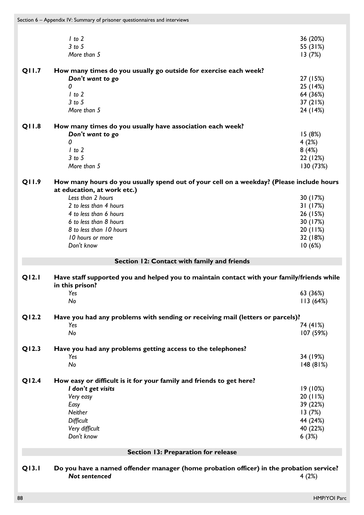|       | $1$ to $2$                                                                                               | 36 (20%)  |
|-------|----------------------------------------------------------------------------------------------------------|-----------|
|       | $3$ to $5$                                                                                               | 55 (31%)  |
|       | More than 5                                                                                              | 13(7%)    |
| Q11.7 | How many times do you usually go outside for exercise each week?                                         |           |
|       | Don't want to go                                                                                         | 27 (15%)  |
|       | 0                                                                                                        |           |
|       |                                                                                                          | 25 (14%)  |
|       | $1$ to $2$                                                                                               | 64 (36%)  |
|       | $3$ to $5$                                                                                               | 37 (21%)  |
|       | More than 5                                                                                              | 24 (14%)  |
| Q11.8 | How many times do you usually have association each week?                                                |           |
|       | Don't want to go                                                                                         | 15(8%)    |
|       | 0                                                                                                        | 4(2%)     |
|       | $1$ to $2$                                                                                               | 8(4%)     |
|       | $3$ to $5$                                                                                               | 22 (12%)  |
|       | More than 5                                                                                              | 130 (73%) |
| Q11.9 | How many hours do you usually spend out of your cell on a weekday? (Please include hours                 |           |
|       | at education, at work etc.)                                                                              |           |
|       | Less than 2 hours                                                                                        | 30 (17%)  |
|       | 2 to less than 4 hours                                                                                   | 31(17%)   |
|       | 4 to less than 6 hours                                                                                   | 26 (15%)  |
|       | 6 to less than 8 hours                                                                                   | 30 (17%)  |
|       | 8 to less than 10 hours                                                                                  | 20(11%)   |
|       | 10 hours or more                                                                                         | 32 (18%)  |
|       | Don't know                                                                                               | 10(6%)    |
|       | Section 12: Contact with family and friends                                                              |           |
|       |                                                                                                          |           |
| Q12.1 | Have staff supported you and helped you to maintain contact with your family/friends while               |           |
|       | in this prison?                                                                                          |           |
|       | Yes                                                                                                      | 63 (36%)  |
|       | No                                                                                                       | 113(64%)  |
| Q12.2 | Have you had any problems with sending or receiving mail (letters or parcels)?                           |           |
|       | Yes                                                                                                      | 74 (41%)  |
|       | No                                                                                                       | 107 (59%) |
| Q12.3 | Have you had any problems getting access to the telephones?                                              |           |
|       | Yes                                                                                                      | 34 (19%)  |
|       |                                                                                                          |           |
|       | No                                                                                                       | 148(81%)  |
|       |                                                                                                          |           |
| Q12.4 | How easy or difficult is it for your family and friends to get here?                                     |           |
|       | I don't get visits                                                                                       | 19(10%)   |
|       | Very easy                                                                                                | 20(11%)   |
|       | Easy                                                                                                     | 39 (22%)  |
|       | <b>Neither</b>                                                                                           | 13(7%)    |
|       | Difficult                                                                                                | 44 (24%)  |
|       | Very difficult                                                                                           | 40 (22%)  |
|       | Don't know                                                                                               | 6(3%)     |
|       | Section 13: Preparation for release                                                                      |           |
|       |                                                                                                          |           |
| Q13.1 | Do you have a named offender manager (home probation officer) in the probation service?<br>Not sentenced | 4(2%)     |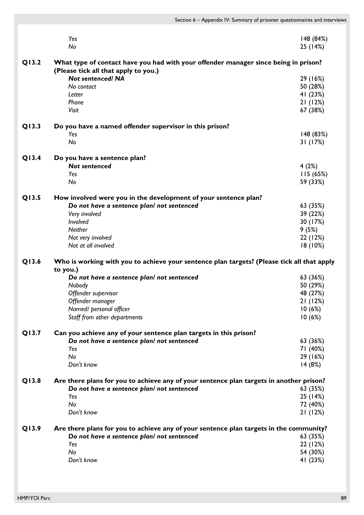|       | Yes                                                                                                                         | 148 (84%) |
|-------|-----------------------------------------------------------------------------------------------------------------------------|-----------|
|       | No                                                                                                                          | 25 (14%)  |
|       |                                                                                                                             |           |
| Q13.2 | What type of contact have you had with your offender manager since being in prison?<br>(Please tick all that apply to you.) |           |
|       | <b>Not sentenced/ NA</b>                                                                                                    | 29 (16%)  |
|       | No contact                                                                                                                  | 50 (28%)  |
|       | Letter                                                                                                                      | 41 (23%)  |
|       | Phone                                                                                                                       | 21(12%)   |
|       | Visit                                                                                                                       | 67 (38%)  |
| Q13.3 |                                                                                                                             |           |
|       | Do you have a named offender supervisor in this prison?<br>Yes                                                              |           |
|       |                                                                                                                             | 148 (83%) |
|       | No                                                                                                                          | 31 (17%)  |
| Q13.4 | Do you have a sentence plan?                                                                                                |           |
|       | <b>Not sentenced</b>                                                                                                        | 4(2%)     |
|       | Yes                                                                                                                         | 115 (65%) |
|       | No                                                                                                                          | 59 (33%)  |
| Q13.5 | How involved were you in the development of your sentence plan?                                                             |           |
|       | Do not have a sentence plan/ not sentenced                                                                                  | 63 (35%)  |
|       | Very involved                                                                                                               | 39 (22%)  |
|       | Involved                                                                                                                    | 30 (17%)  |
|       | Neither                                                                                                                     | 9(5%)     |
|       | Not very involved                                                                                                           | 22 (12%)  |
|       | Not at all involved                                                                                                         | 18(10%)   |
| Q13.6 | Who is working with you to achieve your sentence plan targets? (Please tick all that apply                                  |           |
|       | to you.)                                                                                                                    |           |
|       | Do not have a sentence plan/ not sentenced                                                                                  | 63 (36%)  |
|       | Nobody                                                                                                                      | 50 (29%)  |
|       | Offender supervisor                                                                                                         | 48 (27%)  |
|       | Offender manager                                                                                                            | 21(12%)   |
|       | Named/ personal officer                                                                                                     | 10(6%)    |
|       | Staff from other departments                                                                                                | 10(6%)    |
| Q13.7 |                                                                                                                             |           |
|       | Can you achieve any of your sentence plan targets in this prison?<br>Do not have a sentence plan! not sentenced             |           |
|       | Yes                                                                                                                         | 63 (36%)  |
|       | No                                                                                                                          | 71 (40%)  |
|       |                                                                                                                             | 29 (16%)  |
|       | Don't know                                                                                                                  | 14(8%)    |
| Q13.8 | Are there plans for you to achieve any of your sentence plan targets in another prison?                                     |           |
|       | Do not have a sentence plan! not sentenced                                                                                  | 63 (35%)  |
|       | Yes                                                                                                                         | 25 (14%)  |
|       | No                                                                                                                          | 72 (40%)  |
|       | Don't know                                                                                                                  | 21(12%)   |
| Q13.9 | Are there plans for you to achieve any of your sentence plan targets in the community?                                      |           |
|       | Do not have a sentence plan! not sentenced                                                                                  | 63 (35%)  |
|       |                                                                                                                             |           |
|       | Yes                                                                                                                         | 22 (12%)  |
|       | No                                                                                                                          | 54 (30%)  |
|       | Don't know                                                                                                                  | 41 (23%)  |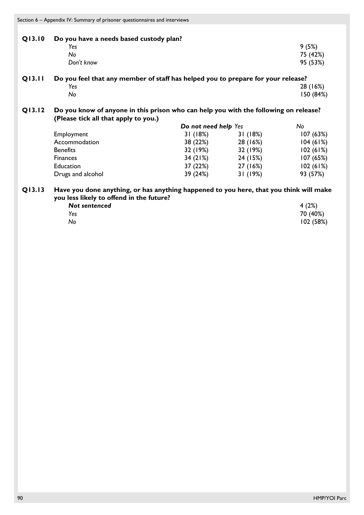Section 6 – Appendix IV: Summary of prisoner questionnaires and interviews

| Q13.10 | Do you have a needs based custody plan? |          |
|--------|-----------------------------------------|----------|
|        | Yes                                     | 9(5%)    |
|        | No                                      | 75 (42%) |
|        | Don't know                              | 95 (53%) |

| <b>Q13.11</b> | Do you feel that any member of staff has helped you to prepare for your release? |  |           |  |  |  |
|---------------|----------------------------------------------------------------------------------|--|-----------|--|--|--|
|               | Yes                                                                              |  | 28 (16%)  |  |  |  |
|               | N٥                                                                               |  | 150 (84%) |  |  |  |

**Q13.12 Do you know of anyone in this prison who can help you with the following on release? (Please tick all that apply to you.)**

|                   | Do not need help Yes | No       |          |
|-------------------|----------------------|----------|----------|
| Employment        | 31(18%)              | 31(18%)  | 107(63%) |
| Accommodation     | 38 (22%)             | 28 (16%) | 104(61%) |
| <b>Benefits</b>   | 32 (19%)             | 32 (19%) | 102(61%) |
| <b>Finances</b>   | 34(21%)              | 24 (15%) | 107(65%) |
| Education         | 37 (22%)             | 27 (16%) | 102(61%) |
| Drugs and alcohol | 39 (24%)             | 31(19%)  | 93 (57%) |

# **Q13.13 Have you done anything, or has anything happened to you here, that you think will make you less likely to offend in the future?**

| Not sentenced | 4(2%)    |
|---------------|----------|
| Yes           | 70 (40%) |
| No            | 102(58%) |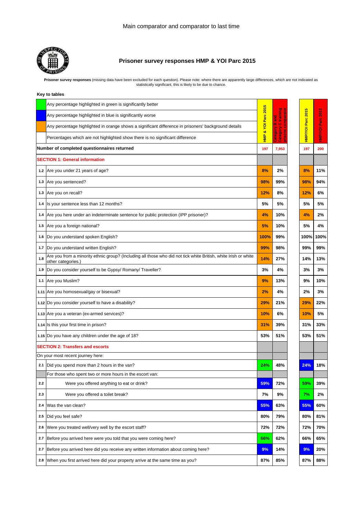

# **Prisoner survey responses HMP & YOI Parc 2015**

Prisoner survey responses (missing data have been excluded for each question). Please note: where there are apparently large differences, which are not indicated as<br>statistically significant, this is likely to be due to ch

| Key to tables |  |
|---------------|--|
|---------------|--|

|     | Any percentage highlighted in green is significantly better                                                                          | s                  |                      |                     |               |
|-----|--------------------------------------------------------------------------------------------------------------------------------------|--------------------|----------------------|---------------------|---------------|
|     | Any percentage highlighted in blue is significantly worse                                                                            |                    | training             | s<br>$\frac{20}{3}$ | 2013          |
|     | Any percentage highlighted in orange shows a significant difference in prisoners' background details                                 | HMP & YOI Parc 201 | $\ddot{\circ}$<br>B. | <b>HMP/YOI Parc</b> | Parc          |
|     | Percentages which are not highlighted show there is no significant difference                                                        |                    | Category<br>š<br>Šp  |                     | <b>HNPYOI</b> |
|     | Number of completed questionnaires returned                                                                                          | 197                | 7,953                | 197                 | 200           |
|     | <b>SECTION 1: General information</b>                                                                                                |                    |                      |                     |               |
|     | 1.2 Are you under 21 years of age?                                                                                                   | 8%                 | 2%                   | 8%                  | 11%           |
|     | 1.3 Are you sentenced?                                                                                                               | 98%                | 99%                  | 98%                 | 94%           |
|     | 1.3 Are you on recall?                                                                                                               | 12%                | 8%                   | 12%                 | 6%            |
| 1.4 | Is your sentence less than 12 months?                                                                                                | 5%                 | 5%                   | 5%                  | 5%            |
| 1.4 | Are you here under an indeterminate sentence for public protection (IPP prisoner)?                                                   | 4%                 | 10%                  | 4%                  | 2%            |
|     | 1.5 Are you a foreign national?                                                                                                      | 5%                 | 10%                  | 5%                  | 4%            |
| 1.6 | Do you understand spoken English?                                                                                                    | 100%               | 99%                  | 100%                | 100%          |
| 1.7 | Do you understand written English?                                                                                                   | 99%                | 98%                  | 99%                 | 99%           |
| 1.8 | Are you from a minority ethnic group? (Including all those who did not tick white British, white Irish or white<br>other categories. | 14%                | 27%                  | 14%                 | 13%           |
| 1.9 | Do you consider yourself to be Gypsy/ Romany/ Traveller?                                                                             | 3%                 | 4%                   | 3%                  | 3%            |
|     | 1.1 Are you Muslim?                                                                                                                  | 9%                 | 13%                  | 9%                  | 10%           |
|     | 1.11 Are you homosexual/gay or bisexual?                                                                                             | 2%                 | 4%                   | 2%                  | 3%            |
|     | 1.12 Do you consider yourself to have a disability?                                                                                  | 29%                | 21%                  | 29%                 | 22%           |
|     | 1.13 Are you a veteran (ex-armed services)?                                                                                          | 10%                | 6%                   | 10%                 | 5%            |
|     | 1.14 Is this your first time in prison?                                                                                              | 31%                | 39%                  | 31%                 | 33%           |
|     | 1.15 Do you have any children under the age of 18?                                                                                   | 53%                | 51%                  | 53%                 | 51%           |
|     | <b>SECTION 2: Transfers and escorts</b>                                                                                              |                    |                      |                     |               |
|     | On your most recent journey here:                                                                                                    |                    |                      |                     |               |
|     | 2.1 Did you spend more than 2 hours in the van?                                                                                      | 24%                | 48%                  | 24%                 | 18%           |
|     | For those who spent two or more hours in the escort van:                                                                             |                    |                      |                     |               |
| 2.2 | Were you offered anything to eat or drink?                                                                                           | 59%                | 72%                  | 59%                 | 39%           |
| 2.3 | Were you offered a toilet break?                                                                                                     | 7%                 | 9%                   | 7%                  | 2%            |
| 2.4 | Was the van clean?                                                                                                                   | 55%                | 63%                  | 55%                 | 60%           |
| 2.5 | Did you feel safe?                                                                                                                   | 80%                | 79%                  | 80%                 | 81%           |
| 2.6 | Were you treated well/very well by the escort staff?                                                                                 | 72%                | 72%                  | 72%                 | 70%           |
| 2.7 | Before you arrived here were you told that you were coming here?                                                                     | 66%                | 62%                  | 66%                 | 65%           |
| 2.7 | Before you arrived here did you receive any written information about coming here?                                                   | 9%                 | 14%                  | 9%                  | 20%           |
|     | 2.8 When you first arrived here did your property arrive at the same time as you?                                                    | 87%                | 85%                  | 87%                 | 88%           |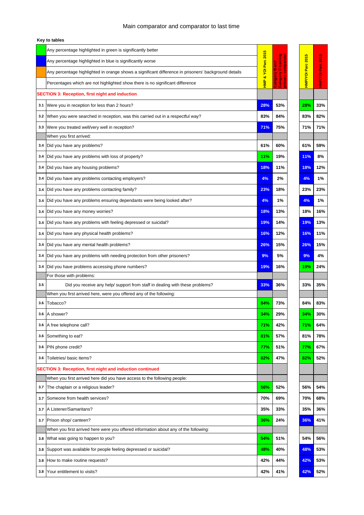|     | Key to tables                                                                                        |                     |                          |                   |            |                   |
|-----|------------------------------------------------------------------------------------------------------|---------------------|--------------------------|-------------------|------------|-------------------|
|     | Any percentage highlighted in green is significantly better                                          |                     |                          |                   |            |                   |
|     | Any percentage highlighted in blue is significantly worse                                            |                     | <b>Equan</b><br>ខ្ព<br>ឆ |                   |            |                   |
|     | Any percentage highlighted in orange shows a significant difference in prisoners' background details |                     | œ,<br>$\circ$            |                   |            |                   |
|     | Percentages which are not highlighted show there is no significant difference                        | HMP & YOI Parc 2015 | Category<br>Category     | HMP/YOI Parc 2015 |            | HMP/YOI Parc 2013 |
|     | <b>SECTION 3: Reception, first night and induction</b>                                               |                     |                          |                   |            |                   |
| 3.1 | Were you in reception for less than 2 hours?                                                         | 28%                 | 53%                      |                   | 28%        | 33%               |
| 3.2 | When you were searched in reception, was this carried out in a respectful way?                       | 83%                 | 84%                      |                   | 83%        | 82%               |
| 3.3 | Were you treated well/very well in reception?                                                        | 71%                 | 75%                      |                   | 71%        | 71%               |
|     | When you first arrived:                                                                              |                     |                          |                   |            |                   |
| 3.4 | Did you have any problems?                                                                           | 61%                 | 60%                      |                   | 61%        | 59%               |
| 3.4 | Did you have any problems with loss of property?                                                     | 11%                 | 19%                      |                   | <b>11%</b> | 8%                |
| 3.4 | Did you have any housing problems?                                                                   | 18%                 | 11%                      |                   | 18%        | 12%               |
| 3.4 | Did you have any problems contacting employers?                                                      | 4%                  | 2%                       |                   | 4%         | 1%                |
| 3.4 | Did you have any problems contacting family?                                                         | 23%                 | 18%                      |                   | 23%        | 23%               |
| 3.4 | Did you have any problems ensuring dependants were being looked after?                               | 4%                  | 1%                       |                   | 4%         | 1%                |
| 3.4 | Did you have any money worries?                                                                      | 18%                 | 13%                      |                   | 18%        | 16%               |
|     |                                                                                                      |                     |                          |                   |            |                   |
| 3.4 | Did you have any problems with feeling depressed or suicidal?                                        | 19%                 | 14%                      |                   | 19%        | 13%               |
| 3.4 | Did you have any physical health problems?                                                           | 16%                 | 12%                      |                   | 16%        | 11%               |
| 3.4 | Did you have any mental health problems?                                                             | 26%                 | 15%                      |                   | 26%        | 15%               |
| 3.4 | Did you have any problems with needing protection from other prisoners?                              | 9%                  | 5%                       |                   | 9%         | 4%                |
| 3.4 | Did you have problems accessing phone numbers?                                                       | 19%                 | 16%                      |                   | 19%        | 24%               |
|     | For those with problems:                                                                             |                     |                          |                   |            |                   |
| 3.5 | Did you receive any help/ support from staff in dealing with these problems?                         | 33%                 | 36%                      |                   | 33%        | 35%               |
|     | When you first arrived here, were you offered any of the following:<br>Tobacco?                      | 84%                 | 73%                      |                   | 84%        | 83%               |
| 3.6 |                                                                                                      |                     |                          |                   |            |                   |
| 3.6 | A shower?                                                                                            | 34%                 | 29%                      |                   | 34%        | 30%               |
| 3.6 | A free telephone call?                                                                               | 71%                 | 42%                      |                   | 71%        | 64%               |
| 3.6 | Something to eat?                                                                                    | 81%                 | 57%                      |                   | 81%        | 78%               |
| 3.6 | PIN phone credit?                                                                                    | 77%                 | 51%                      |                   | 77%        | 67%               |
| 3.6 | Toiletries/ basic items?                                                                             | 82%                 | 47%                      |                   | 82%        | 52%               |
|     | <b>SECTION 3: Reception, first night and induction continued</b>                                     |                     |                          |                   |            |                   |
|     | When you first arrived here did you have access to the following people:                             |                     |                          |                   |            |                   |
| 3.7 | The chaplain or a religious leader?                                                                  | 56%                 | 52%                      |                   | 56%        | 54%               |
| 3.7 | Someone from health services?                                                                        | 70%                 | 69%                      |                   | 70%        | 68%               |
| 3.7 | A Listener/Samaritans?                                                                               | 35%                 | 33%                      |                   | 35%        | 36%               |
| 3.7 | Prison shop/ canteen?                                                                                | 36%                 | 24%                      |                   | 36%        | 41%               |
|     | When you first arrived here were you offered information about any of the following:                 |                     |                          |                   |            |                   |
| 3.8 | What was going to happen to you?                                                                     | 54%                 | 51%                      |                   | 54%        | 56%               |
| 3.8 | Support was available for people feeling depressed or suicidal?                                      | 48%                 | 40%                      |                   | 48%        | 53%               |
| 3.8 | How to make routine requests?                                                                        | 42%                 | 44%                      |                   | 42%        | 53%               |
| 3.8 | Your entitlement to visits?                                                                          | 42%                 | 41%                      |                   | 42%        | 52%               |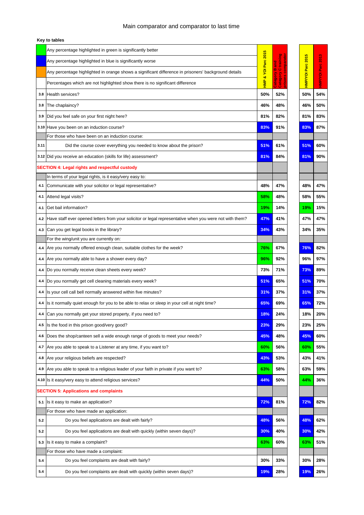| Key to tables |  |  |  |
|---------------|--|--|--|
|---------------|--|--|--|

|      | Any percentage highlighted in green is significantly better                                             |                  |                      |                   |              |
|------|---------------------------------------------------------------------------------------------------------|------------------|----------------------|-------------------|--------------|
|      | Any percentage highlighted in blue is significantly worse                                               | Parc 2015        | ø<br>Ē<br>na<br>S    |                   | 2013         |
|      | Any percentage highlighted in orange shows a significant difference in prisoners' background details    | ğ                | m.<br>$\bullet$<br>à |                   |              |
|      | Percentages which are not highlighted show there is no significant difference                           | øð<br><b>HMP</b> | Catego<br>is<br>E    | HMP/YOI Parc 2015 | HMP/VOI Parc |
| 3.8  | Health services?                                                                                        | 50%              | 52%                  | 50%               | 54%          |
| 3.8  | The chaplaincy?                                                                                         | 46%              | 48%                  | 46%               | 50%          |
| 3.9  | Did you feel safe on your first night here?                                                             | 81%              | 82%                  | 81%               | 83%          |
|      | 3.10 Have you been on an induction course?                                                              | 83%              | 91%                  | 83%               | 87%          |
|      | For those who have been on an induction course:                                                         |                  |                      |                   |              |
| 3.11 | Did the course cover everything you needed to know about the prison?                                    | 51%              | 61%                  | 51%               | 60%          |
|      | 3.12 Did you receive an education (skills for life) assessment?                                         | 81%              | 84%                  | 81%               | 90%          |
|      | <b>SECTION 4: Legal rights and respectful custody</b>                                                   |                  |                      |                   |              |
|      | In terms of your legal rights, is it easy/very easy to:                                                 |                  |                      |                   |              |
| 4.1  | Communicate with your solicitor or legal representative?                                                | 48%              | 47%                  | 48%               | 47%          |
| 4.1  | Attend legal visits?                                                                                    | 58%              | 48%                  | 58%               | 55%          |
| 4.1  | Get bail information?                                                                                   | 19%              | 14%                  | 19%               | 15%          |
| 4.2  | Have staff ever opened letters from your solicitor or legal representative when you were not with them? | 47%              | 41%                  | 47%               | 47%          |
|      |                                                                                                         | 34%              |                      | 34%               |              |
| 4.3  | Can you get legal books in the library?<br>For the wing/unit you are currently on:                      |                  | 43%                  |                   | 35%          |
| 4.4  | Are you normally offered enough clean, suitable clothes for the week?                                   | 76%              | 67%                  | 76%               | 82%          |
| 4.4  | Are you normally able to have a shower every day?                                                       | 96%              | 92%                  | 96%               | 97%          |
| 4.4  | Do you normally receive clean sheets every week?                                                        | 73%              | 71%                  | 73%               | 89%          |
|      | 4.4 Do you normally get cell cleaning materials every week?                                             | 51%              | 65%                  | 51%               | 70%          |
| 4.4  | Is your cell call bell normally answered within five minutes?                                           | 31%              | 37%                  | 31%               | 37%          |
| 4.4  | Is it normally quiet enough for you to be able to relax or sleep in your cell at night time?            | 65%              | 69%                  | 65%               | 72%          |
|      | 4.4 Can you normally get your stored property, if you need to?                                          | 18%              | 24%                  | 18%               | 20%          |
| 4.5  | Is the food in this prison good/very good?                                                              | 23%              | 29%                  | 23%               | 25%          |
|      |                                                                                                         |                  |                      |                   |              |
| 4.6  | Does the shop/canteen sell a wide enough range of goods to meet your needs?                             | 45%              | 48%                  | 45%               | 60%          |
| 4.7  | Are you able to speak to a Listener at any time, if you want to?                                        | 60%              | 56%                  | 60%               | 55%          |
| 4.8  | Are your religious beliefs are respected?                                                               | 43%              | 53%                  | 43%               | 41%          |
| 4.9  | Are you able to speak to a religious leader of your faith in private if you want to?                    | 63%              | 58%                  | 63%               | 59%          |
|      | 4.10 Is it easy/very easy to attend religious services?                                                 | 44%              | 50%                  | 44%               | 36%          |
|      | <b>SECTION 5: Applications and complaints</b>                                                           |                  |                      |                   |              |
| 5.1  | Is it easy to make an application?                                                                      | 72%              | 81%                  | 72%               | 82%          |
|      | For those who have made an application:                                                                 |                  |                      |                   |              |
| 5.2  | Do you feel applications are dealt with fairly?                                                         | 48%              | 56%                  | 48%               | 62%          |
| 5.2  | Do you feel applications are dealt with quickly (within seven days)?                                    | 30%              | 40%                  | 30%               | 42%          |
| 5.3  | Is it easy to make a complaint?                                                                         | 63%              | 60%                  | 63%               | 51%          |
|      | For those who have made a complaint:                                                                    |                  |                      |                   |              |
| 5.4  | Do you feel complaints are dealt with fairly?                                                           | 30%              | 33%                  | 30%               | 28%          |
| 5.4  | Do you feel complaints are dealt with quickly (within seven days)?                                      | 19%              | 28%                  | 19%               | 26%          |

| ō                   | ø<br>à<br>e<br>F<br>ò.<br>о |
|---------------------|-----------------------------|
| 50%                 | 54%                         |
| 46%                 | 50%                         |
| 81%                 | 83%                         |
| 83%                 | 87%                         |
|                     |                             |
| 51%                 | 60%                         |
| 81                  | 90%                         |
|                     |                             |
|                     |                             |
| 48%                 | 47%                         |
| 58%                 | 55%                         |
| 19%                 | 15%                         |
| 47%                 | 47%                         |
| 34%                 | 35%                         |
|                     |                             |
| 76%                 | 82%                         |
| 96%                 | 17<br>℅                     |
| 73%                 | 89%                         |
| 51<br>$\frac{9}{6}$ | 70%                         |
| 31%                 | 37%                         |
| 65%                 | 72%                         |
| 18%                 | 20%                         |
| 23%                 | 25%                         |
| 45%                 | 60%                         |
| 60%                 | 55%                         |
| 43%                 | 41%                         |
| 63%                 | 59%                         |
| 44%                 | 36%                         |
|                     |                             |
| 72%                 | 82%                         |
|                     |                             |
| 48%                 | 62%                         |
| 30%                 | 42%                         |
| 63%                 | 51%                         |
| 30%                 | 28%                         |
| 19%                 | 26%                         |
|                     |                             |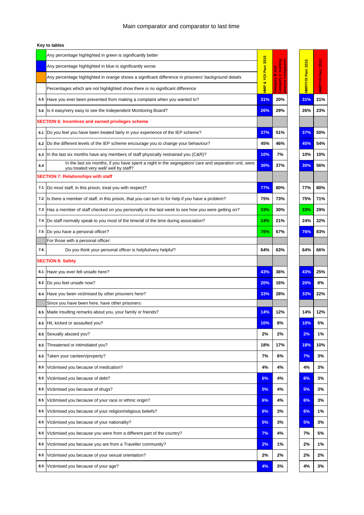|     | Any percentage highlighted in green is significantly better                                                                                   |                     |                         |                   |                   |
|-----|-----------------------------------------------------------------------------------------------------------------------------------------------|---------------------|-------------------------|-------------------|-------------------|
|     | Any percentage highlighted in blue is significantly worse                                                                                     | HMP & YOI Parc 2015 | <u>Fraini</u><br>ទ<br>ត | HMP/YOI Parc 2015 | HMP/VOI Parc 2013 |
|     | Any percentage highlighted in orange shows a significant difference in prisoners' background details                                          |                     | m<br>$\circ$            |                   |                   |
|     | Percentages which are not highlighted show there is no significant difference                                                                 |                     | Lategory<br>Category    |                   |                   |
| 5.5 | Have you ever been prevented from making a complaint when you wanted to?                                                                      | 31%                 | 20%                     | 31%               | 21%               |
| 5.6 | Is it easy/very easy to see the Independent Monitoring Board?                                                                                 | 26%                 | 29%                     | 26%               | 23%               |
|     | <b>SECTION 6: Incentives and earned privileges scheme</b>                                                                                     |                     |                         |                   |                   |
| 6.1 | Do you feel you have been treated fairly in your experience of the IEP scheme?                                                                | 37%                 | 51%                     | 37%               | 50%               |
| 6.2 | Do the different levels of the IEP scheme encourage you to change your behaviour?                                                             | 45%                 | 46%                     | 45%               | 54%               |
| 6.3 | In the last six months have any members of staff physically restrained you (C&R)?                                                             | 10%                 | 7%                      | 10%               | 10%               |
| 6.4 | In the last six months, if you have spent a night in the segregation/ care and separation unit, were<br>you treated very well/ well by staff? | 30%                 | 37%                     | 30%               | 56%               |
|     | <b>SECTION 7: Relationships with staff</b>                                                                                                    |                     |                         |                   |                   |
| 7.1 | Do most staff, in this prison, treat you with respect?                                                                                        | 77%                 | 80%                     | 77%               | 80%               |
| 7.2 | Is there a member of staff, in this prison, that you can turn to for help if you have a problem?                                              | 75%                 | 73%                     | 75%               | 71%               |
| 7.3 | Has a member of staff checked on you personally in the last week to see how you were getting on?                                              | 33%                 | 30%                     | 33%               | 29%               |
| 7.4 | Do staff normally speak to you most of the time/all of the time during association?                                                           | 24%                 | 21%                     | 24%               | 22%               |
| 7.5 | Do you have a personal officer?                                                                                                               | 76%                 | 67%                     | 76%               | 83%               |
|     | For those with a personal officer:                                                                                                            |                     |                         |                   |                   |
| 7.6 | Do you think your personal officer is helpful/very helpful?                                                                                   | 64%                 | 63%                     | 64%               | 66%               |
|     | <b>SECTION 8: Safety</b>                                                                                                                      |                     |                         |                   |                   |
| 8.1 | Have you ever felt unsafe here?                                                                                                               | 43%                 | 36%                     | 43%               | 25%               |
|     | 8.2 Do you feel unsafe now?                                                                                                                   | 20%                 | 16%                     | 20%               | 8%                |
| 8.4 | Have you been victimised by other prisoners here?                                                                                             | 33%                 | 28%                     | 33%               | 22%               |
|     | Since you have been here, have other prisoners:                                                                                               |                     |                         |                   |                   |
| 8.5 | Made insulting remarks about you, your family or friends?                                                                                     | 14%                 | 12%                     | 14%               | 12%               |
| 8.5 | Hit, kicked or assaulted you?                                                                                                                 | 10%                 | 8%                      | 10%               | 5%                |
| 8.5 | Sexually abused you?                                                                                                                          | 2%                  | 2%                      | 2%                | 1%                |
| 8.5 | Threatened or intimidated you?                                                                                                                | 18%                 | 17%                     | 18%               | 10%               |
| 8.5 | Taken your canteen/property?                                                                                                                  | 7%                  | 6%                      | 7%                | 3%                |
| 8.5 | Victimised you because of medication?                                                                                                         | 4%                  | 4%                      | 4%                | 3%                |
| 8.5 | Victimised you because of debt?                                                                                                               | 6%                  | 4%                      | 6%                | 3%                |
| 8.5 | Victimised you because of drugs?                                                                                                              | 5%                  | 4%                      | 5%                | 3%                |
| 8.5 | Victimised you because of your race or ethnic origin?                                                                                         | 6%                  | 4%                      | 6%                | 3%                |
| 8.5 | Victimised you because of your religion/religious beliefs?                                                                                    | 6%                  | 3%                      | 6%                | 1%                |
| 8.5 | Victimised you because of your nationality?                                                                                                   | 5%                  | 3%                      | 5%                | 3%                |
| 8.5 | Victimised you because you were from a different part of the country?                                                                         | 7%                  | 4%                      | 7%                | 5%                |
| 8.5 | Victimised you because you are from a Traveller community?                                                                                    | 2%                  | 1%                      | 2%                | 1%                |
| 8.5 | Victimised you because of your sexual orientation?                                                                                            | 2%                  | 2%                      | 2%                | 2%                |
| 8.5 | Victimised you because of your age?                                                                                                           | 4%                  | 3%                      | 4%                | 3%                |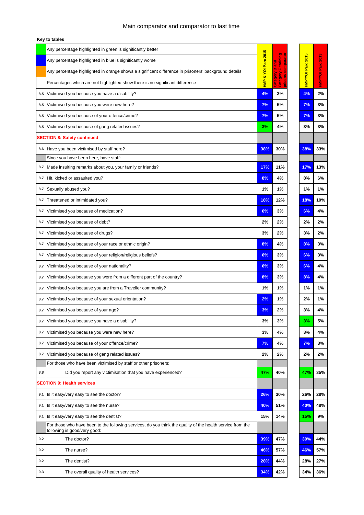|     | Any percentage highlighted in green is significantly better                                                                                | 5              |                                      |                   |                   |
|-----|--------------------------------------------------------------------------------------------------------------------------------------------|----------------|--------------------------------------|-------------------|-------------------|
|     | Any percentage highlighted in blue is significantly worse                                                                                  | & YOI Parc 201 | training<br>ខ្ព<br>ឆ                 | HMP/YOI Parc 2015 | HMP/VOI Parc 2013 |
|     | Any percentage highlighted in orange shows a significant difference in prisoners' background details                                       |                | m<br>$\circ$                         |                   |                   |
|     | Percentages which are not highlighted show there is no significant difference                                                              | <b>HMP</b>     | <b>Nobare</b><br>Category<br>prisons |                   |                   |
| 8.5 | Victimised you because you have a disability?                                                                                              | 4%             | 3%                                   | 4%                | 2%                |
| 8.5 | Victimised you because you were new here?                                                                                                  | 7%             | 5%                                   | 7%                | 3%                |
| 8.5 | Victimised you because of your offence/crime?                                                                                              | 7%             | 5%                                   | 7%                | 3%                |
| 8.5 | Victimised you because of gang related issues?                                                                                             | 3%             | 4%                                   | 3%                | 3%                |
|     | <b>SECTION 8: Safety continued</b>                                                                                                         |                |                                      |                   |                   |
| 8.6 | Have you been victimised by staff here?                                                                                                    | 38%            | 30%                                  | 38%               | 33%               |
|     | Since you have been here, have staff:                                                                                                      |                |                                      |                   |                   |
| 8.7 | Made insulting remarks about you, your family or friends?                                                                                  | 17%            | 11%                                  | 17%               | 13%               |
| 8.7 | Hit, kicked or assaulted you?                                                                                                              | 8%             | 4%                                   | 8%                | 6%                |
| 8.7 | Sexually abused you?                                                                                                                       | 1%             | 1%                                   | 1%                | 1%                |
| 8.7 | Threatened or intimidated you?                                                                                                             | 18%            | 12%                                  | 18%               | 10%               |
| 8.7 | Victimised you because of medication?                                                                                                      | 6%             | 3%                                   | 6%                | 4%                |
| 8.7 | Victimised you because of debt?                                                                                                            | 2%             | 2%                                   | 2%                | 2%                |
| 8.7 | Victimised you because of drugs?                                                                                                           | 3%             | 2%                                   | 3%                | 2%                |
| 8.7 | Victimised you because of your race or ethnic origin?                                                                                      | 8%             | 4%                                   | 8%                | 3%                |
| 8.7 | Victimised you because of your religion/religious beliefs?                                                                                 | 6%             | 3%                                   | 6%                | 3%                |
| 8.7 | Victimised you because of your nationality?                                                                                                | 6%             | 3%                                   | 6%                | 4%                |
| 8.7 | Victimised you because you were from a different part of the country?                                                                      | 8%             | 3%                                   | 8%                | 4%                |
| 8.7 | Victimised you because you are from a Traveller community?                                                                                 | 1%             | 1%                                   | 1%                | 1%                |
| 8.7 | Victimised you because of your sexual orientation?                                                                                         | 2%             | 1%                                   | 2%                | 1%                |
| 8.7 | Victimised you because of your age?                                                                                                        | 3%             | 2%                                   | 3%                | 4%                |
| 8.7 | Victimised you because you have a disability?                                                                                              | 3%             | 3%                                   | 3%                | 5%                |
| 8.7 | Victimised you because you were new here?                                                                                                  | 3%             | 4%                                   | 3%                | 4%                |
| 8.7 | Victimised you because of your offence/crime?                                                                                              | 7%             | 4%                                   | 7%                | 3%                |
| 8.7 | Victimised you because of gang related issues?                                                                                             | 2%             | 2%                                   | 2%                | 2%                |
|     | For those who have been victimised by staff or other prisoners:                                                                            |                |                                      |                   |                   |
| 8.8 | Did you report any victimisation that you have experienced?                                                                                | 47%            | 40%                                  | 47%               | 35%               |
|     | <b>SECTION 9: Health services</b>                                                                                                          |                |                                      |                   |                   |
| 9.1 | Is it easy/very easy to see the doctor?                                                                                                    | 26%            | 30%                                  | 26%               | 28%               |
| 9.1 | Is it easy/very easy to see the nurse?                                                                                                     | 40%            | 51%                                  | 40%               | 48%               |
| 9.1 | Is it easy/very easy to see the dentist?                                                                                                   | 15%            | 14%                                  | 15%               | 9%                |
|     | For those who have been to the following services, do you think the quality of the health service from the<br>following is good/very good: |                |                                      |                   |                   |
| 9.2 | The doctor?                                                                                                                                | 39%            | 47%                                  | 39%               | 44%               |
| 9.2 | The nurse?                                                                                                                                 | 46%            | 57%                                  | 46%               | 57%               |
| 9.2 | The dentist?                                                                                                                               | 28%            | 44%                                  | 28%               | 27%               |
| 9.3 | The overall quality of health services?                                                                                                    | 34%            | 42%                                  | 34%               | 36%               |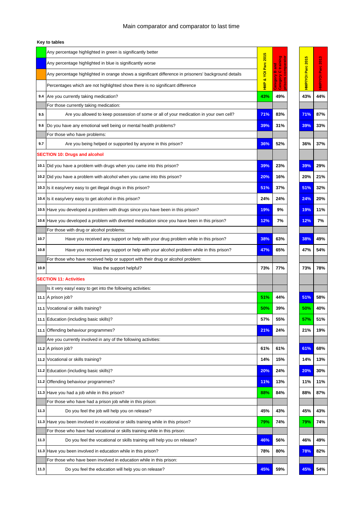|      | Any percentage highlighted in green is significantly better                                          |                 |                      |                   |                   |
|------|------------------------------------------------------------------------------------------------------|-----------------|----------------------|-------------------|-------------------|
|      | Any percentage highlighted in blue is significantly worse                                            | & YOI Parc 2015 | training<br>na<br>Sa | HMP/VOI Parc 2015 |                   |
|      | Any percentage highlighted in orange shows a significant difference in prisoners' background details |                 | m<br>$\circ$         |                   | HMP/YOI Parc 2013 |
|      | Percentages which are not highlighted show there is no significant difference                        | $\frac{1}{2}$   | Category<br>Category |                   |                   |
| 9.4  | Are you currently taking medication?                                                                 | 43%             | 49%                  | 43%               | 44%               |
|      | For those currently taking medication:                                                               |                 |                      |                   |                   |
| 9.5  | Are you allowed to keep possession of some or all of your medication in your own cell?               | 71%             | 83%                  | 71%               | 87%               |
| 9.6  | Do you have any emotional well being or mental health problems?                                      | 39%             | 31%                  | 39%               | 33%               |
|      | For those who have problems:                                                                         |                 |                      |                   |                   |
| 9.7  | Are you being helped or supported by anyone in this prison?                                          | 36%             | 52%                  | 36%               | 37%               |
|      | <b>SECTION 10: Drugs and alcohol</b>                                                                 |                 |                      |                   |                   |
|      | 10.1 Did you have a problem with drugs when you came into this prison?                               | 39%             | 23%                  | 39%               | 29%               |
|      | 10.2 Did you have a problem with alcohol when you came into this prison?                             | 20%             | 16%                  | 20%               | 21%               |
|      | 10.3 Is it easy/very easy to get illegal drugs in this prison?                                       | 51%             | 37%                  | 51%               | 32%               |
|      | 10.4 Is it easy/very easy to get alcohol in this prison?                                             | 24%             | 24%                  | 24%               | 20%               |
|      |                                                                                                      | 19%             | 9%                   | 19%               | 11%               |
|      | 10.5 Have you developed a problem with drugs since you have been in this prison?                     |                 |                      |                   |                   |
|      | 10.6 Have you developed a problem with diverted medication since you have been in this prison?       | 12%             | 7%                   | 12%               | 7%                |
|      | For those with drug or alcohol problems:                                                             |                 |                      |                   |                   |
| 10.7 | Have you received any support or help with your drug problem while in this prison?                   | 38%             | 63%                  | 38%               | 49%               |
| 10.8 | Have you received any support or help with your alcohol problem while in this prison?                | 47%             | 65%                  | 47%               | 54%               |
|      | For those who have received help or support with their drug or alcohol problem:                      |                 |                      |                   |                   |
| 10.9 | Was the support helpful?                                                                             | 73%             | 77%                  | 73%               | 78%               |
|      | <b>SECTION 11: Activities</b>                                                                        |                 |                      |                   |                   |
|      | Is it very easy/ easy to get into the following activities:                                          |                 |                      |                   |                   |
|      | 11.1 A prison job?                                                                                   | 51%             | 44%                  | 51%               | 58%               |
|      | 11.1 Vocational or skills training?                                                                  | 50%             | 39%                  | 50%               | 40%               |
|      | 11.1 Education (including basic skills)?                                                             | 57%             | 55%                  | 57%               | 51%               |
|      | 11.1 Offending behaviour programmes?                                                                 | 21%             | 24%                  | 21%               | 19%               |
|      | Are you currently involved in any of the following activities:                                       |                 |                      |                   |                   |
|      | 11.2 A prison job?                                                                                   | 61%             | 61%                  | 61%               | 68%               |
|      | 11.2 Vocational or skills training?                                                                  | 14%             | 15%                  | 14%               | 13%               |
|      | 11.2 Education (including basic skills)?                                                             | 20%             | 24%                  | 20%               | 30%               |
|      | 11.2 Offending behaviour programmes?                                                                 | 11%             | 13%                  | 11%               | 11%               |
|      | 11.3 Have you had a job while in this prison?                                                        | 88%             | 84%                  | 88%               | 87%               |
|      | For those who have had a prison job while in this prison:                                            |                 |                      |                   |                   |
| 11.3 | Do you feel the job will help you on release?                                                        | 45%             | 43%                  | 45%               | 43%               |
|      | 11.3 Have you been involved in vocational or skills training while in this prison?                   | 79%             | 74%                  | 79%               | 74%               |
|      | For those who have had vocational or skills training while in this prison:                           |                 |                      |                   |                   |
| 11.3 | Do you feel the vocational or skills training will help you on release?                              | 46%             | 56%                  | 46%               | 49%               |
|      | 11.3 Have you been involved in education while in this prison?                                       | 78%             | 80%                  | 78%               | 82%               |
|      | For those who have been involved in education while in this prison:                                  |                 |                      |                   |                   |
| 11.3 | Do you feel the education will help you on release?                                                  | 45%             | 59%                  | 45%               | 54%               |

| ï<br>ì<br>æ         | š<br>ì<br>è<br>o,<br>ż<br>ä |
|---------------------|-----------------------------|
| 43%                 | 44%                         |
|                     |                             |
| 71%                 | 87%                         |
| 39%                 | 33%                         |
|                     |                             |
| 36%                 | 37%                         |
|                     |                             |
| 39%                 | 29%                         |
| 20%                 | 21%                         |
| 51<br>$\frac{9}{6}$ | 32%                         |
| 24%                 | 20%                         |
| 19%                 | 11%                         |
| 12%                 | 7%                          |
|                     |                             |
| 38%                 | 49%                         |
| 47%                 | 54%                         |
|                     |                             |
| 73%                 | 78%                         |
|                     |                             |
|                     |                             |
| 51<br>$\frac{9}{6}$ | 58%                         |
| 50%                 | 40%                         |
|                     | F                           |
| 21%                 | 19%                         |
|                     |                             |
| 61%                 | 68%                         |
| 14%                 | 13%                         |
| 20%                 | 30%                         |
| 11%                 | 11%                         |
| 88%                 | 87%                         |
|                     |                             |
| 45%                 | 43%                         |
| 79%                 | 74%                         |
|                     |                             |
| 46%                 | 49%                         |
| 78%                 | 82%                         |
| 45%                 | 54%                         |
|                     |                             |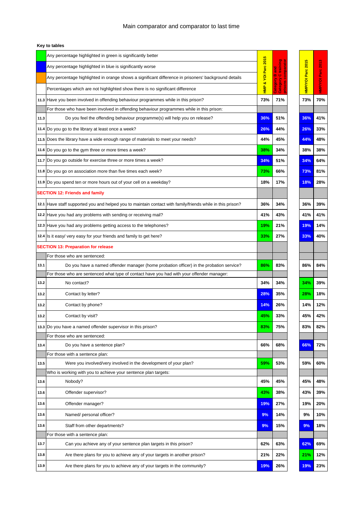|      | Any percentage highlighted in green is significantly better                                                | 5                  |                       |                   |                  |
|------|------------------------------------------------------------------------------------------------------------|--------------------|-----------------------|-------------------|------------------|
|      | Any percentage highlighted in blue is significantly worse                                                  | HMP & YOI Parc 201 | training<br>ិន<br>ក   | HMP/VOI Parc 2015 |                  |
|      | Any percentage highlighted in orange shows a significant difference in prisoners' background details       |                    | m<br>$\circ$          |                   |                  |
|      | Percentages which are not highlighted show there is no significant difference                              |                    | , ategory<br>Category |                   | HMP/VOI Parc 201 |
|      | 11.3 Have you been involved in offending behaviour programmes while in this prison?                        | 73%                | 71%                   | 73%               | 70%              |
|      | For those who have been involved in offending behaviour programmes while in this prison:                   |                    |                       |                   |                  |
| 11.3 | Do you feel the offending behaviour programme(s) will help you on release?                                 | 36%                | 51%                   | 36%               | 41%              |
|      | 11.4 Do you go to the library at least once a week?                                                        | 26%                | 44%                   | 26%               | 33%              |
|      | 11.5 Does the library have a wide enough range of materials to meet your needs?                            | 44%                | 45%                   | 44%               | 48%              |
|      | 11.6 Do you go to the gym three or more times a week?                                                      | 38%                | 34%                   | 38%               | 38%              |
|      | 11.7 Do you go outside for exercise three or more times a week?                                            | 34%                | 51%                   | 34%               | 64%              |
|      | 11.8 Do you go on association more than five times each week?                                              | 73%                | 66%                   | 73%               | 81%              |
|      | 11.9 Do you spend ten or more hours out of your cell on a weekday?                                         | 18%                | 17%                   | 18%               | 28%              |
|      | <b>SECTION 12: Friends and family</b>                                                                      |                    |                       |                   |                  |
|      | 12.1 Have staff supported you and helped you to maintain contact with family/friends while in this prison? | 36%                | 34%                   | 36%               | 39%              |
|      | 12.2 Have you had any problems with sending or receiving mail?                                             | 41%                | 43%                   | 41%               | 41%              |
|      | 12.3 Have you had any problems getting access to the telephones?                                           | 19%                | 21%                   | 19%               | 14%              |
|      | 12.4 Is it easy/very easy for your friends and family to get here?                                         | 33%                | 27%                   | 33%               | 40%              |
|      | <b>SECTION 13: Preparation for release</b>                                                                 |                    |                       |                   |                  |
|      | For those who are sentenced:                                                                               |                    |                       |                   |                  |
| 13.1 | Do you have a named offender manager (home probation officer) in the probation service?                    | 86%                | 83%                   | 86%               | 84%              |
|      | For those who are sentenced what type of contact have you had with your offender manager:                  |                    |                       |                   |                  |
| 13.2 | No contact?                                                                                                | 34%                | 34%                   | 34%               | 39%              |
| 13.2 | Contact by letter?                                                                                         | 28%                | 35%                   | 28%               | 18%              |
| 13.2 | Contact by phone?                                                                                          | 14%                | 26%                   | 14%               | 12%              |
| 13.2 | Contact by visit?                                                                                          | 45%                | 33%                   | 45%               | 42%              |
|      | 13.3 Do you have a named offender supervisor in this prison?                                               | 83%                | 75%                   | 83%               | 82%              |
|      | For those who are sentenced:                                                                               |                    |                       |                   |                  |
| 13.4 | Do you have a sentence plan?                                                                               | 66%                | 68%                   | 66%               | 72%              |
|      | For those with a sentence plan:                                                                            |                    |                       |                   |                  |
| 13.5 | Were you involved/very involved in the development of your plan?                                           | 59%                | 53%                   | 59%               | 60%              |
|      | Who is working with you to achieve your sentence plan targets:                                             |                    |                       |                   |                  |
| 13.6 | Nobody?                                                                                                    | 45%                | 45%                   | 45%               | 48%              |
| 13.6 | Offender supervisor?                                                                                       | 43%                | 38%                   | 43%               | 39%              |
| 13.6 | Offender manager?                                                                                          | 19%                | 27%                   | 19%               | 20%              |
| 13.6 | Named/ personal officer?                                                                                   | 9%                 | 14%                   | 9%                | 10%              |
| 13.6 | Staff from other departments?                                                                              | 9%                 | 15%                   | 9%                | 18%              |
|      | For those with a sentence plan:                                                                            |                    |                       |                   |                  |
| 13.7 | Can you achieve any of your sentence plan targets in this prison?                                          | 62%                | 63%                   | 62%               | 69%              |
| 13.8 | Are there plans for you to achieve any of your targets in another prison?                                  | 21%                | 22%                   | 21%               | 12%              |
| 13.9 | Are there plans for you to achieve any of your targets in the community?                                   | 19%                | 26%                   | 19%               | 23%              |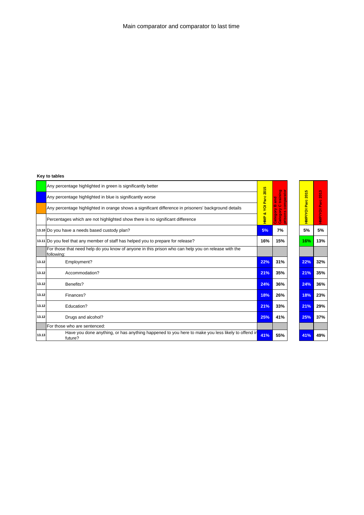|       | Any percentage highlighted in green is significantly better                                                      | $\overline{5}$         |                                       |                     |              |
|-------|------------------------------------------------------------------------------------------------------------------|------------------------|---------------------------------------|---------------------|--------------|
|       | Any percentage highlighted in blue is significantly worse                                                        | $\frac{1}{20}$<br>Parc | g<br>El<br>Ξ<br>part<br>ទ<br>ត<br>Ē   | <b>2015</b>         | <b>2013</b>  |
|       | Any percentage highlighted in orange shows a significant difference in prisoners' background details             | ğ                      | m<br>$\circ$<br>ā                     |                     |              |
|       | Percentages which are not highlighted show there is no significant difference                                    | οð<br><b>EMH</b>       | Category<br>$\overline{a}$<br>នី<br>흥 | <b>HMP/YOI Parc</b> | HMP/YOI Parc |
|       | 13.10 Do you have a needs based custody plan?                                                                    | 5%                     | 7%                                    | 5%                  | 5%           |
|       | 13.11 Do you feel that any member of staff has helped you to prepare for release?                                | 16%                    | 15%                                   | 16%                 | 13%          |
|       | For those that need help do you know of anyone in this prison who can help you on release with the<br>following: |                        |                                       |                     |              |
| 13.12 | Employment?                                                                                                      | 22%                    | 31%                                   | 22%                 | 32%          |
| 13.12 | Accommodation?                                                                                                   | 21%                    | 35%                                   | 21%                 | 35%          |
| 13.12 | Benefits?                                                                                                        | 24%                    | 36%                                   | 24%                 | 36%          |
| 13.12 | Finances?                                                                                                        | 18%                    | 26%                                   | 18%                 | 23%          |
| 13.12 | Education?                                                                                                       | 21%                    | 33%                                   | 21%                 | 29%          |
| 13.12 | Drugs and alcohol?                                                                                               | 25%                    | 41%                                   | 25%                 | 37%          |
|       | For those who are sentenced:                                                                                     |                        |                                       |                     |              |
| 13.13 | Have you done anything, or has anything happened to you here to make you less likely to offend<br>in future?     | 41%                    | 55%                                   | 41%                 | 49%          |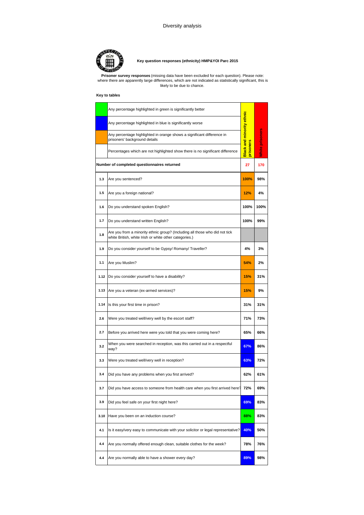

### **Key question responses (ethnicity) HMP&YOI Parc 2015**

**Prisoner survey responses** (missing data have been excluded for each question). Please note: where there are apparently large differences, which are not indicated as statistically significant, this is likely to be due to chance.

|      | Any percentage highlighted in green is significantly better                                                                           |                                  |                        |
|------|---------------------------------------------------------------------------------------------------------------------------------------|----------------------------------|------------------------|
|      | Any percentage highlighted in blue is significantly worse                                                                             |                                  |                        |
|      | Any percentage highlighted in orange shows a significant difference in<br>prisoners' background details                               | <b>Black and minority ethnic</b> | <b>Nhite prisoners</b> |
|      | Percentages which are not highlighted show there is no significant difference                                                         | isoners<br>ō                     |                        |
|      | Number of completed questionnaires returned                                                                                           | 27                               | 170                    |
| 1.3  | Are you sentenced?                                                                                                                    | 100%                             | 98%                    |
| 1.5  | Are you a foreign national?                                                                                                           | 12%                              | 4%                     |
| 1.6  | Do you understand spoken English?                                                                                                     | 100%                             | 100%                   |
| 1.7  | Do you understand written English?                                                                                                    | 100%                             | 99%                    |
| 1.8  | Are you from a minority ethnic group? (Including all those who did not tick<br>white British, white Irish or white other categories.) |                                  |                        |
| 1.9  | Do you consider yourself to be Gypsy/ Romany/ Traveller?                                                                              | 4%                               | 3%                     |
| 1.1  | Are you Muslim?                                                                                                                       | 54%                              | 2%                     |
| 1.12 | Do you consider yourself to have a disability?                                                                                        | 15%                              | 31%                    |
| 1.13 | Are you a veteran (ex-armed services)?                                                                                                | 15%                              | 9%                     |
| 1.14 | Is this your first time in prison?                                                                                                    | 31%                              | 31%                    |
| 2.6  | Were you treated well/very well by the escort staff?                                                                                  | 71%                              | 73%                    |
| 2.7  | Before you arrived here were you told that you were coming here?                                                                      | 65%                              | 66%                    |
| 3.2  | When you were searched in reception, was this carried out in a respectful<br>way?                                                     | 67%                              | 86%                    |
| 3.3  | Were you treated well/very well in reception?                                                                                         | 63%                              | 72%                    |
| 3.4  | Did you have any problems when you first arrived?                                                                                     | 62%                              | 61%                    |
| 3.7  | Did you have access to someone from health care when you first arrived here?                                                          | 72%                              | 69%                    |
| 3.9  | Did you feel safe on your first night here?                                                                                           | 69%                              | 83%                    |
| 3.10 | Have you been on an induction course?                                                                                                 | 88%                              | 83%                    |
| 4.1  | Is it easy/very easy to communicate with your solicitor or legal representative?                                                      | 40%                              | 50%                    |
| 4.4  | Are you normally offered enough clean, suitable clothes for the week?                                                                 | 78%                              | 76%                    |
| 4.4  | Are you normally able to have a shower every day?                                                                                     | 89%                              | 98%                    |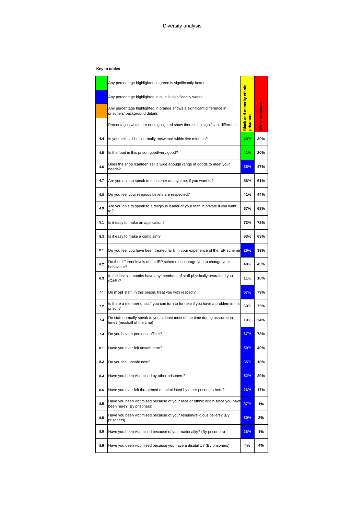|     | Any percentage highlighted in green is significantly better                                                 |                         |                 |
|-----|-------------------------------------------------------------------------------------------------------------|-------------------------|-----------------|
|     | Any percentage highlighted in blue is significantly worse                                                   |                         |                 |
|     | Any percentage highlighted in orange shows a significant difference in<br>prisoners' background details     | ack and minority ethnic | White prisoners |
|     | Percentages which are not highlighted show there is no significant difference                               | isoners<br>ᆱ            |                 |
| 4.4 | Is your cell call bell normally answered within five minutes?                                               | 40%                     | 30%             |
| 4.5 | Is the food in this prison good/very good?                                                                  | 41%                     | 20%             |
| 4.6 | Does the shop /canteen sell a wide enough range of goods to meet your<br>needs?                             | 36%                     | 47%             |
| 4.7 | Are you able to speak to a Listener at any time, if you want to?                                            | 56%                     | 61%             |
| 4.8 | Do you feel your religious beliefs are respected?                                                           | 41%                     | 44%             |
| 4.9 | Are you able to speak to a religious leader of your faith in private if you want<br>to?                     | 67%                     | 63%             |
| 5.1 | Is it easy to make an application?                                                                          | 72%                     | 72%             |
| 5.3 | Is it easy to make a complaint?                                                                             | 63%                     | 63%             |
| 6.1 | Do you feel you have been treated fairly in your experience of the IEP scheme <sup>2</sup> 26%              |                         | 39%             |
| 6.2 | Do the different levels of the IEP scheme encourage you to change your<br>behaviour?                        | 48%                     | 45%             |
| 6.3 | In the last six months have any members of staff physically restrained you<br>(C&R)?                        | 11%                     | 10%             |
| 7.1 | Do most staff, in this prison, treat you with respect?                                                      | 67%                     | 79%             |
| 7.2 | Is there a member of staff you can turn to for help if you have a problem in this<br>prison?                | 69%                     | 75%             |
| 7.3 | Do staff normally speak to you at least most of the time during association<br>time? (most/all of the time) | 19%                     | 24%             |
| 7.4 | Do you have a personal officer?                                                                             | 67%                     | 78%             |
| 8.1 | Have you ever felt unsafe here?                                                                             | 59%                     | 40%             |
| 8.2 | Do you feel unsafe now?                                                                                     | 35%                     | 18%             |
| 8.3 | Have you been victimised by other prisoners?                                                                | 52%                     | 29%             |
| 8.5 | Have you ever felt threatened or intimidated by other prisoners here?                                       | 26%                     | 17%             |
| 8.5 | Have you been victimised because of your race or ethnic origin since you have<br>been here? (By prisoners)  | 37%                     | 1%              |
| 8.5 | Have you been victimised because of your religion/religious beliefs? (By<br>prisoners)                      | 30%                     | 2%              |
| 8.5 | Have you been victimised because of your nationality? (By prisoners)                                        | 26%                     | 1%              |
| 8.5 | Have you been victimised because you have a disability? (By prisoners)                                      | 4%                      | 4%              |
|     |                                                                                                             |                         |                 |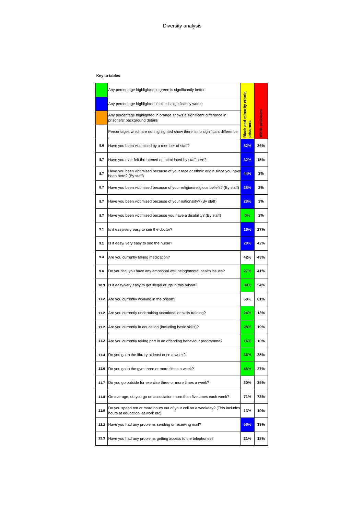|      | Any percentage highlighted in green is significantly better                                                      |                          |                 |
|------|------------------------------------------------------------------------------------------------------------------|--------------------------|-----------------|
|      | Any percentage highlighted in blue is significantly worse                                                        |                          |                 |
|      | Any percentage highlighted in orange shows a significant difference in<br>prisoners' background details          | lack and minority ethnic | White prisoners |
|      | Percentages which are not highlighted show there is no significant difference                                    | isoners<br>늅<br>ᆱ        |                 |
| 8.6  | Have you been victimised by a member of staff?                                                                   | 52%                      | 36%             |
| 8.7  | Have you ever felt threatened or intimidated by staff here?                                                      | 32%                      | 15%             |
| 8.7  | Have you been victimised because of your race or ethnic origin since you have<br>been here? (By staff)           | 44%                      | 3%              |
| 8.7  | Have you been victimised because of your religion/religious beliefs? (By staff)                                  | 28%                      | 3%              |
| 8.7  | Have you been victimised because of your nationality? (By staff)                                                 | 28%                      | 3%              |
| 8.7  | Have you been victimised because you have a disability? (By staff)                                               | 0%                       | 3%              |
| 9.1  | Is it easy/very easy to see the doctor?                                                                          | 16%                      | 27%             |
| 9.1  | Is it easy/ very easy to see the nurse?                                                                          | 28%                      | 42%             |
| 9.4  | Are you currently taking medication?                                                                             | 42%                      | 43%             |
| 9.6  | Do you feel you have any emotional well being/mental health issues?                                              | 27%                      | 41%             |
| 10.3 | Is it easy/very easy to get illegal drugs in this prison?                                                        | 39%                      | 54%             |
| 11.2 | Are you currently working in the prison?                                                                         | 60%                      | 61%             |
| 11.2 | Are you currently undertaking vocational or skills training?                                                     | 24%                      | 13%             |
| 11.2 | Are you currently in education (including basic skills)?                                                         | 28%                      | 19%             |
| 11.2 | Are you currently taking part in an offending behaviour programme?                                               | 16%                      | 10%             |
| 11.4 | Do you go to the library at least once a week?                                                                   | 36%                      | 25%             |
| 11.6 | Do you go to the gym three or more times a week?                                                                 | 46%                      | 37%             |
| 11.7 | Do you go outside for exercise three or more times a week?                                                       | 30%                      | 35%             |
| 11.8 | On average, do you go on association more than five times each week?                                             | 71%                      | 73%             |
| 11.9 | Do you spend ten or more hours out of your cell on a weekday? (This includes<br>hours at education, at work etc) | 13%                      | 19%             |
| 12.2 | Have you had any problems sending or receiving mail?                                                             | 56%                      | 39%             |
| 12.3 | Have you had any problems getting access to the telephones?                                                      | 21%                      | 18%             |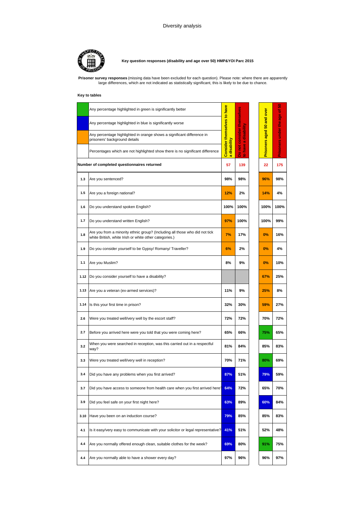

**Key question responses (disability and age over 50) HMP&YOI Parc 2015**

**Prisoner survey responses** (missing data have been excluded for each question). Please note: where there are apparently large differences, which are not indicated as statistically significant, this is likely to be due to chance.

|      | Any percentage highlighted in green is significantly better                                                                           | <b>Consider themselves to have</b><br>disability<br>$\omega$ |                                        |                            | ន<br>ð                  |
|------|---------------------------------------------------------------------------------------------------------------------------------------|--------------------------------------------------------------|----------------------------------------|----------------------------|-------------------------|
|      | Any percentage highlighted in blue is significantly worse                                                                             |                                                              |                                        |                            |                         |
|      | Any percentage highlighted in orange shows a significant difference in<br>prisoners' background details                               |                                                              | Do not consider themselves<br>a disabi | Prisoners aged 50 and over | Prisoners under the age |
|      | Percentages which are not highlighted show there is no significant difference                                                         |                                                              | Q<br>É<br>ø                            |                            |                         |
|      | Number of completed questionnaires returned                                                                                           | 57                                                           | 139                                    | 22                         | 175                     |
| 1.3  | Are you sentenced?                                                                                                                    | 98%                                                          | 98%                                    | 96%                        | 98%                     |
| 1.5  | Are you a foreign national?                                                                                                           | 12%                                                          | 2%                                     | 14%                        | 4%                      |
| 1.6  | Do you understand spoken English?                                                                                                     | 100%                                                         | 100%                                   | 100%                       | 100%                    |
| 1.7  | Do you understand written English?                                                                                                    | 97%                                                          | 100%                                   | 100%                       | 99%                     |
| 1.8  | Are you from a minority ethnic group? (Including all those who did not tick<br>white British, white Irish or white other categories.) | 7%                                                           | 17%                                    | 0%                         | 16%                     |
| 1.9  | Do you consider yourself to be Gypsy/ Romany/ Traveller?                                                                              | 6%                                                           | 2%                                     | 0%                         | 4%                      |
| 1.1  | Are you Muslim?                                                                                                                       | 8%                                                           | 9%                                     | 0%                         | 10%                     |
| 1.12 | Do you consider yourself to have a disability?                                                                                        |                                                              |                                        | 67%                        | 25%                     |
| 1.13 | Are you a veteran (ex-armed services)?                                                                                                | 11%                                                          | 9%                                     | 25%                        | 8%                      |
| 1.14 | Is this your first time in prison?                                                                                                    | 32%                                                          | 30%                                    | 59%                        | 27%                     |
| 2.6  | Were you treated well/very well by the escort staff?                                                                                  | 72%                                                          | 72%                                    | 70%                        | 72%                     |
| 2.7  | Before you arrived here were you told that you were coming here?                                                                      | 65%                                                          | 66%                                    | 75%                        | 65%                     |
| 3.2  | When you were searched in reception, was this carried out in a respectful<br>way?                                                     | 81%                                                          | 84%                                    | 85%                        | 83%                     |
| 3.3  | Were you treated well/very well in reception?                                                                                         | 70%                                                          | 71%                                    | 80%                        | 69%                     |
| 3.4  | Did you have any problems when you first arrived?                                                                                     | 87%                                                          | 51%                                    | 79%                        | 59%                     |
| 3.7  | Did you have access to someone from health care when you first arrived here?                                                          | 64%                                                          | 72%                                    | 65%                        | 70%                     |
| 3.9  | Did you feel safe on your first night here?                                                                                           | 63%                                                          | 89%                                    | 60%                        | 84%                     |
| 3.10 | Have you been on an induction course?                                                                                                 | 79%                                                          | 85%                                    | 85%                        | 83%                     |
| 4.1  | Is it easy/very easy to communicate with your solicitor or legal representative?                                                      | 41%                                                          | 51%                                    | 52%                        | 48%                     |
| 4.4  | Are you normally offered enough clean, suitable clothes for the week?                                                                 | 69%                                                          | 80%                                    | 91%                        | 75%                     |
| 4.4  | Are you normally able to have a shower every day?                                                                                     | 97%                                                          | 96%                                    | 96%                        | 97%                     |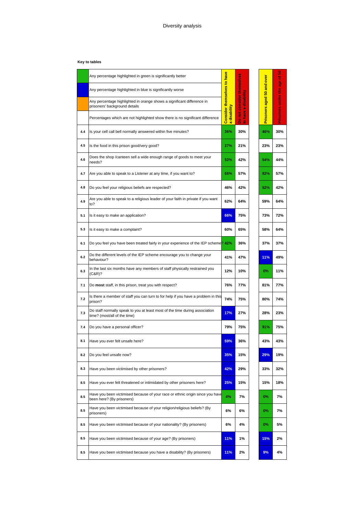|     | Any percentage highlighted in green is significantly better                                                 |                             |                                                        | over                       | ន                          |
|-----|-------------------------------------------------------------------------------------------------------------|-----------------------------|--------------------------------------------------------|----------------------------|----------------------------|
|     | Any percentage highlighted in blue is significantly worse                                                   |                             |                                                        |                            |                            |
|     | Any percentage highlighted in orange shows a significant difference in<br>prisoners' background details     | Consider themselves to have | consider themselves<br>io<br>Co<br>芳<br>$\mathfrak{a}$ | <b>isoners aged 50 and</b> | Prisoners under the age of |
|     | Percentages which are not highlighted show there is no significant difference                               | a disabil                   | g<br>ĕ<br>8<br>2                                       | E                          |                            |
| 4.4 | Is your cell call bell normally answered within five minutes?                                               | 36%                         | 30%                                                    | 46%                        | 30%                        |
| 4.5 | Is the food in this prison good/very good?                                                                  | 27%                         | 21%                                                    | 23%                        | 23%                        |
| 4.6 | Does the shop /canteen sell a wide enough range of goods to meet your<br>needs?                             | 52%                         | 42%                                                    | 54%                        | 44%                        |
| 4.7 | Are you able to speak to a Listener at any time, if you want to?                                            | 66%                         | 57%                                                    | 82%                        | 57%                        |
| 4.8 | Do you feel your religious beliefs are respected?                                                           | 46%                         | 42%                                                    | 52%                        | 42%                        |
| 4.9 | Are you able to speak to a religious leader of your faith in private if you want<br>to?                     | 62%                         | 64%                                                    | 59%                        | 64%                        |
| 5.1 | Is it easy to make an application?                                                                          | 66%                         | 75%                                                    | 73%                        | 72%                        |
| 5.3 | Is it easy to make a complaint?                                                                             | 60%                         | 65%                                                    | 58%                        | 64%                        |
| 6.1 | Do you feel you have been treated fairly in your experience of the IEP scheme? 42%                          |                             | 36%                                                    | 37%                        | 37%                        |
| 6.2 | Do the different levels of the IEP scheme encourage you to change your<br>behaviour?                        | 41%                         | 47%                                                    | 11%                        | 49%                        |
| 6.3 | In the last six months have any members of staff physically restrained you<br>(C&R)?                        | 12%                         | 10%                                                    | 0%                         | 11%                        |
| 7.1 | Do most staff, in this prison, treat you with respect?                                                      | 76%                         | 77%                                                    | 81%                        | 77%                        |
| 7.2 | Is there a member of staff you can turn to for help if you have a problem in this<br>prison?                | 74%                         | 75%                                                    | 80%                        | 74%                        |
| 7.3 | Do staff normally speak to you at least most of the time during association<br>time? (most/all of the time) | 17%                         | 27%                                                    | 28%                        | 23%                        |
| 7.4 | Do you have a personal officer?                                                                             | 79%                         | 75%                                                    | 91%                        | 75%                        |
| 8.1 | Have you ever felt unsafe here?                                                                             | 59%                         | 36%                                                    | 43%                        | 43%                        |
| 8.2 | Do you feel unsafe now?                                                                                     | 35%                         | 15%                                                    | 29%                        | 19%                        |
| 8.3 | Have you been victimised by other prisoners?                                                                | 42%                         | 29%                                                    | 33%                        | 32%                        |
| 8.5 | Have you ever felt threatened or intimidated by other prisoners here?                                       | 25%                         | 15%                                                    | 15%                        | 18%                        |
| 8.5 | Have you been victimised because of your race or ethnic origin since you have<br>been here? (By prisoners)  | 4%                          | 7%                                                     | 0%                         | 7%                         |
| 8.5 | Have you been victimised because of your religion/religious beliefs? (By<br>prisoners)                      | 6%                          | 6%                                                     | 0%                         | 7%                         |
| 8.5 | Have you been victimised because of your nationality? (By prisoners)                                        | 6%                          | 4%                                                     | 0%                         | 5%                         |
| 8.5 | Have you been victimised because of your age? (By prisoners)                                                | 11%                         | 1%                                                     | 15%                        | 2%                         |
| 8.5 | Have you been victimised because you have a disability? (By prisoners)                                      | 11%                         | 2%                                                     | 9%                         | 4%                         |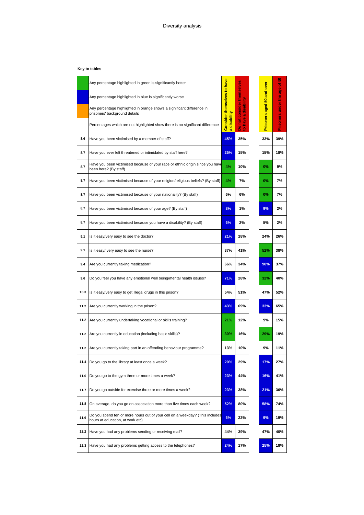|      | Any percentage highlighted in green is significantly better                                                      |                                                              |                                |                            | ន<br>৳                  |
|------|------------------------------------------------------------------------------------------------------------------|--------------------------------------------------------------|--------------------------------|----------------------------|-------------------------|
|      | Any percentage highlighted in blue is significantly worse                                                        | <b>Consider themselves to have</b><br>disability<br>$\omega$ |                                |                            |                         |
|      | Any percentage highlighted in orange shows a significant difference in<br>prisoners' background details          |                                                              | consider themselves<br>a disab | Prisoners aged 50 and over | Prisoners under the age |
|      | Percentages which are not highlighted show there is no significant difference                                    |                                                              | have<br>Do not<br>g            |                            |                         |
| 8.6  | Have you been victimised by a member of staff?                                                                   | 45%                                                          | 35%                            | 33%                        | 39%                     |
| 8.7  | Have you ever felt threatened or intimidated by staff here?                                                      | 25%                                                          | 15%                            | 15%                        | 18%                     |
| 8.7  | Have you been victimised because of your race or ethnic origin since you have<br>been here? (By staff)           | 4%                                                           | 10%                            | $0\%$                      | 9%                      |
| 8.7  | Have you been victimised because of your religion/religious beliefs? (By staff)                                  | 4%                                                           | 7%                             | 0%                         | 7%                      |
| 8.7  | Have you been victimised because of your nationality? (By staff)                                                 | 6%                                                           | 6%                             | 0%                         | 7%                      |
| 8.7  | Have you been victimised because of your age? (By staff)                                                         | 8%                                                           | 1%                             | 9%                         | 2%                      |
| 8.7  | Have you been victimised because you have a disability? (By staff)                                               | 6%                                                           | 2%                             | 5%                         | 2%                      |
| 9.1  | Is it easy/very easy to see the doctor?                                                                          | 21%                                                          | 28%                            | 24%                        | 26%                     |
| 9.1  | Is it easy/ very easy to see the nurse?                                                                          | 37%                                                          | 41%                            | 52%                        | 38%                     |
| 9.4  | Are you currently taking medication?                                                                             | 66%                                                          | 34%                            | 90%                        | 37%                     |
| 9.6  | Do you feel you have any emotional well being/mental health issues?                                              | 71%                                                          | 28%                            | 32%                        | 40%                     |
| 10.3 | Is it easy/very easy to get illegal drugs in this prison?                                                        | 54%                                                          | 51%                            | 47%                        | 52%                     |
| 11.2 | Are you currently working in the prison?                                                                         | 43%                                                          | 69%                            | 33%                        | 65%                     |
| 11.2 | Are you currently undertaking vocational or skills training?                                                     | 21%                                                          | 12%                            | 9%                         | 15%                     |
| 11.2 | Are you currently in education (including basic skills)?                                                         | 30%                                                          | 16%                            | 29%                        | 19%                     |
|      | 11.2 Are you currently taking part in an offending behaviour programme?                                          | 13%                                                          | 10%                            | 9%                         | 11%                     |
| 11.4 | Do you go to the library at least once a week?                                                                   | 20%                                                          | 29%                            | 17%                        | 27%                     |
| 11.6 | Do you go to the gym three or more times a week?                                                                 | 23%                                                          | 44%                            | 16%                        | 41%                     |
| 11.7 | Do you go outside for exercise three or more times a week?                                                       | 23%                                                          | 38%                            | 21%                        | 36%                     |
| 11.8 | On average, do you go on association more than five times each week?                                             | 52%                                                          | 80%                            | 58%                        | 74%                     |
| 11.9 | Do you spend ten or more hours out of your cell on a weekday? (This includes<br>hours at education, at work etc) | 6%                                                           | 22%                            | 9%                         | 19%                     |
| 12.2 | Have you had any problems sending or receiving mail?                                                             | 44%                                                          | 39%                            | 47%                        | 40%                     |
| 12.3 | Have you had any problems getting access to the telephones?                                                      | 24%                                                          | 17%                            | 25%                        | 18%                     |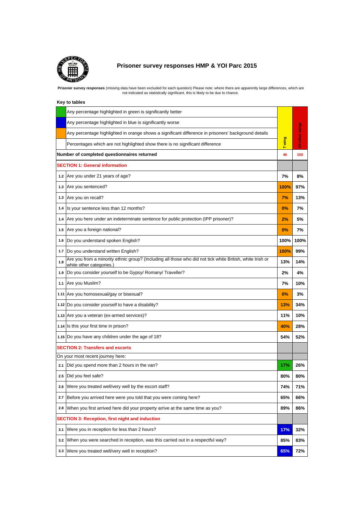

# **Prisoner survey responses HMP & YOI Parc 2015**

Prisoner survey responses (missing data have been excluded for each question) Please note: where there are apparently large differences, which are<br>not indicated as statistically significant, this is likely to be due to cha

|     | Any percentage highlighted in green is significantly better                                                                           |       |             |
|-----|---------------------------------------------------------------------------------------------------------------------------------------|-------|-------------|
|     | Any percentage highlighted in blue is significantly worse                                                                             |       |             |
|     | Any percentage highlighted in orange shows a significant difference in prisoners' background details                                  |       | other wings |
|     | Percentages which are not highlighted show there is no significant difference                                                         | Twing | ₹           |
|     | Number of completed questionnaires returned                                                                                           | 46    | 150         |
|     | <b>SECTION 1: General information</b>                                                                                                 |       |             |
|     | 1.2 Are you under 21 years of age?                                                                                                    | 7%    | 8%          |
|     | 1.3 Are you sentenced?                                                                                                                | 100%  | 97%         |
|     | 1.3 Are you on recall?                                                                                                                | 7%    | 13%         |
| 1.4 | Is your sentence less than 12 months?                                                                                                 | 0%    | 7%          |
| 1.4 | Are you here under an indeterminate sentence for public protection (IPP prisoner)?                                                    | 2%    | 5%          |
| 1.5 | Are you a foreign national?                                                                                                           | 0%    | 7%          |
| 1.6 | Do you understand spoken English?                                                                                                     | 100%  | 100%        |
| 1.7 | Do you understand written English?                                                                                                    | 100%  | 99%         |
| 1.8 | Are you from a minority ethnic group? (Including all those who did not tick white British, white Irish or<br>white other categories.) | 13%   | 14%         |
| 1.9 | Do you consider yourself to be Gypsy/ Romany/ Traveller?                                                                              | 2%    | 4%          |
| 1.1 | Are you Muslim?                                                                                                                       | 7%    | 10%         |
|     | 1.11 Are you homosexual/gay or bisexual?                                                                                              | 0%    | 3%          |
|     | 1.12 Do you consider yourself to have a disability?                                                                                   | 13%   | 34%         |
|     | 1.13 Are you a veteran (ex-armed services)?                                                                                           | 11%   | 10%         |
|     | 1.14 Is this your first time in prison?                                                                                               | 40%   | 28%         |
|     | 1.15 Do you have any children under the age of 18?                                                                                    | 54%   | 52%         |
|     | <b>SECTION 2: Transfers and escorts</b>                                                                                               |       |             |
|     | On your most recent journey here:                                                                                                     |       |             |
| 2.1 | Did you spend more than 2 hours in the van?                                                                                           | 17%   | 26%         |
| 2.5 | Did you feel safe?                                                                                                                    | 80%   | 80%         |
| 2.6 | Were you treated well/very well by the escort staff?                                                                                  | 74%   | 71%         |
| 2.7 | Before you arrived here were you told that you were coming here?                                                                      | 65%   | 66%         |
| 2.8 | When you first arrived here did your property arrive at the same time as you?                                                         | 89%   | 86%         |
|     | SECTION 3: Reception, first night and induction                                                                                       |       |             |
| 3.1 | Were you in reception for less than 2 hours?                                                                                          | 17%   | 32%         |
| 3.2 | When you were searched in reception, was this carried out in a respectful way?                                                        | 85%   | 83%         |
| 3.3 | Were you treated well/very well in reception?                                                                                         | 65%   | 72%         |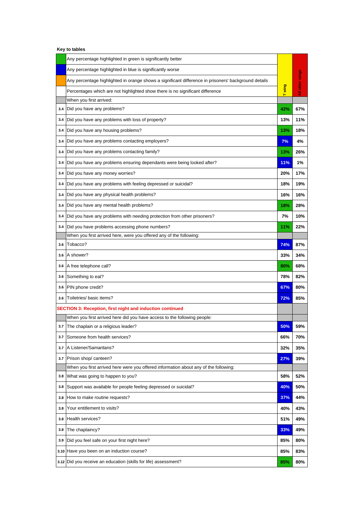|     | Any percentage highlighted in green is significantly better                                          |        |             |
|-----|------------------------------------------------------------------------------------------------------|--------|-------------|
|     | Any percentage highlighted in blue is significantly worse                                            |        |             |
|     | Any percentage highlighted in orange shows a significant difference in prisoners' background details | T wing | other wings |
|     | Percentages which are not highlighted show there is no significant difference                        |        | ₹           |
|     | When you first arrived:                                                                              |        |             |
| 3.4 | Did you have any problems?                                                                           | 42%    | 67%         |
| 3.4 | Did you have any problems with loss of property?                                                     | 13%    | 11%         |
| 3.4 | Did you have any housing problems?                                                                   | 13%    | 18%         |
| 3.4 | Did you have any problems contacting employers?                                                      | 7%     | 4%          |
| 3.4 | Did you have any problems contacting family?                                                         | 13%    | 26%         |
| 3.4 | Did you have any problems ensuring dependants were being looked after?                               | 11%    | 1%          |
| 3.4 | Did you have any money worries?                                                                      | 20%    | 17%         |
| 3.4 | Did you have any problems with feeling depressed or suicidal?                                        | 18%    | 19%         |
| 3.4 | Did you have any physical health problems?                                                           | 16%    | 16%         |
| 3.4 | Did you have any mental health problems?                                                             | 18%    | 28%         |
| 3.4 | Did you have any problems with needing protection from other prisoners?                              | 7%     | 10%         |
| 3.4 | Did you have problems accessing phone numbers?                                                       | 11%    | 22%         |
|     | When you first arrived here, were you offered any of the following:                                  |        |             |
| 3.6 | Tobacco?                                                                                             | 74%    | 87%         |
| 3.6 | A shower?                                                                                            | 33%    | 34%         |
| 3.6 | A free telephone call?                                                                               | 80%    | 68%         |
| 3.6 | Something to eat?                                                                                    | 78%    | 82%         |
| 3.6 | PIN phone credit?                                                                                    | 67%    | 80%         |
| 3.6 | Toiletries/ basic items?                                                                             | 72%    | 85%         |
|     | <b>SECTION 3: Reception, first night and induction continued</b>                                     |        |             |
|     | When you first arrived here did you have access to the following people:                             |        |             |
|     | 3.7 The chaplain or a religious leader?                                                              | 50%    | 59%         |
| 3.7 | Someone from health services?                                                                        | 66%    | 70%         |
| 3.7 | A Listener/Samaritans?                                                                               | 32%    | 35%         |
| 3.7 | Prison shop/ canteen?                                                                                | 27%    | 39%         |
|     | When you first arrived here were you offered information about any of the following:                 |        |             |
| 3.8 | What was going to happen to you?                                                                     | 58%    | 52%         |
| 3.8 | Support was available for people feeling depressed or suicidal?                                      | 40%    | 50%         |
| 3.8 | How to make routine requests?                                                                        | 37%    | 44%         |
| 3.8 | Your entitlement to visits?                                                                          | 40%    | 43%         |
| 3.8 | Health services?                                                                                     | 51%    | 49%         |
| 3.8 | The chaplaincy?                                                                                      | 33%    | 49%         |
| 3.9 | Did you feel safe on your first night here?                                                          | 85%    | 80%         |
|     | 3.10 Have you been on an induction course?                                                           | 85%    | 83%         |
|     | 3.12 Did you receive an education (skills for life) assessment?                                      | 85%    | 80%         |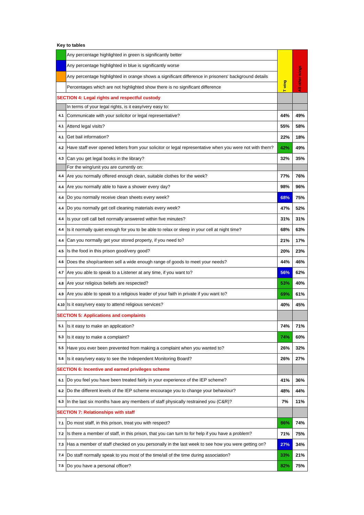|                                                          | Any percentage highlighted in green is significantly better                                             |       |                 |  |
|----------------------------------------------------------|---------------------------------------------------------------------------------------------------------|-------|-----------------|--|
|                                                          | Any percentage highlighted in blue is significantly worse                                               |       |                 |  |
|                                                          | Any percentage highlighted in orange shows a significant difference in prisoners' background details    |       | All other wings |  |
|                                                          | Percentages which are not highlighted show there is no significant difference                           | Twing |                 |  |
| <b>SECTION 4: Legal rights and respectful custody</b>    |                                                                                                         |       |                 |  |
|                                                          | In terms of your legal rights, is it easy/very easy to:                                                 |       |                 |  |
| 4.1                                                      | Communicate with your solicitor or legal representative?                                                | 44%   | 49%             |  |
| 4.1                                                      | Attend legal visits?                                                                                    | 55%   | 58%             |  |
| 4.1                                                      | Get bail information?                                                                                   | 22%   | 18%             |  |
| 4.2                                                      | Have staff ever opened letters from your solicitor or legal representative when you were not with them? | 42%   | 49%             |  |
| 4.3                                                      | Can you get legal books in the library?                                                                 | 32%   | 35%             |  |
|                                                          | For the wing/unit you are currently on:                                                                 |       |                 |  |
| 4.4                                                      | Are you normally offered enough clean, suitable clothes for the week?                                   | 77%   | 76%             |  |
| 4.4                                                      | Are you normally able to have a shower every day?                                                       | 98%   | 96%             |  |
| 4.4                                                      | Do you normally receive clean sheets every week?                                                        | 68%   | 75%             |  |
| 4.4                                                      | Do you normally get cell cleaning materials every week?                                                 | 47%   | 52%             |  |
| 4.4                                                      | Is your cell call bell normally answered within five minutes?                                           | 31%   | 31%             |  |
| 4.4                                                      | Is it normally quiet enough for you to be able to relax or sleep in your cell at night time?            | 68%   | 63%             |  |
| 4.4                                                      | Can you normally get your stored property, if you need to?                                              | 21%   | 17%             |  |
| 4.5                                                      | Is the food in this prison good/very good?                                                              | 20%   | 23%             |  |
| 4.6                                                      | Does the shop/canteen sell a wide enough range of goods to meet your needs?                             | 44%   | 46%             |  |
| 4.7                                                      | Are you able to speak to a Listener at any time, if you want to?                                        | 56%   | 62%             |  |
| 4.8                                                      | Are your religious beliefs are respected?                                                               | 53%   | 40%             |  |
| 4.9                                                      | Are you able to speak to a religious leader of your faith in private if you want to?                    | 69%   | 61%             |  |
|                                                          | 4.10 Is it easy/very easy to attend religious services?                                                 | 40%   | 45%             |  |
| <b>SECTION 5: Applications and complaints</b>            |                                                                                                         |       |                 |  |
| 5.1                                                      | Is it easy to make an application?                                                                      | 74%   | 71%             |  |
| 5.3                                                      | Is it easy to make a complaint?                                                                         | 74%   | 60%             |  |
| 5.5                                                      | Have you ever been prevented from making a complaint when you wanted to?                                | 26%   | 32%             |  |
| 5.6                                                      | Is it easy/very easy to see the Independent Monitoring Board?                                           | 26%   | 27%             |  |
| <b>SECTION 6: Incentive and earned privileges scheme</b> |                                                                                                         |       |                 |  |
| 6.1                                                      | Do you feel you have been treated fairly in your experience of the IEP scheme?                          | 41%   | 36%             |  |
| 6.2                                                      | Do the different levels of the IEP scheme encourage you to change your behaviour?                       | 48%   | 44%             |  |
| 6.3                                                      | In the last six months have any members of staff physically restrained you (C&R)?                       | 7%    | 11%             |  |
| SECTION 7: Relationships with staff                      |                                                                                                         |       |                 |  |
| 7.1                                                      | Do most staff, in this prison, treat you with respect?                                                  | 86%   | 74%             |  |
| 7.2                                                      | Is there a member of staff, in this prison, that you can turn to for help if you have a problem?        | 71%   | 75%             |  |
| 7.3                                                      | Has a member of staff checked on you personally in the last week to see how you were getting on?        | 27%   | 34%             |  |
| 7.4                                                      | Do staff normally speak to you most of the time/all of the time during association?                     | 33%   | 21%             |  |
| 7.5                                                      | Do you have a personal officer?                                                                         | 82%   | 75%             |  |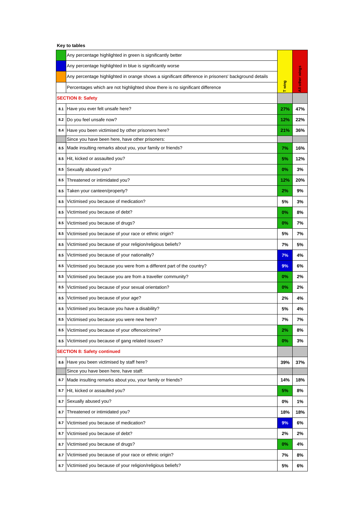|                                    | Any percentage highlighted in green is significantly better                                          |        |                  |  |
|------------------------------------|------------------------------------------------------------------------------------------------------|--------|------------------|--|
|                                    | Any percentage highlighted in blue is significantly worse                                            | T wing | other wings<br>₹ |  |
|                                    | Any percentage highlighted in orange shows a significant difference in prisoners' background details |        |                  |  |
|                                    | Percentages which are not highlighted show there is no significant difference                        |        |                  |  |
| <b>SECTION 8: Safety</b>           |                                                                                                      |        |                  |  |
| 8.1                                | Have you ever felt unsafe here?                                                                      | 27%    | 47%              |  |
| 8.2                                | Do you feel unsafe now?                                                                              | 12%    | 22%              |  |
| 8.4                                | Have you been victimised by other prisoners here?                                                    | 21%    | 36%              |  |
|                                    | Since you have been here, have other prisoners:                                                      |        |                  |  |
| 8.5                                | Made insulting remarks about you, your family or friends?                                            | 7%     | 16%              |  |
| 8.5                                | Hit, kicked or assaulted you?                                                                        | 5%     | 12%              |  |
| 8.5                                | Sexually abused you?                                                                                 | 0%     | 3%               |  |
| 8.5                                | Threatened or intimidated you?                                                                       | 12%    | 20%              |  |
| 8.5                                | Taken your canteen/property?                                                                         | 2%     | 9%               |  |
| 8.5                                | Victimised you because of medication?                                                                | 5%     | 3%               |  |
| 8.5                                | Victimised you because of debt?                                                                      | 0%     | 8%               |  |
| 8.5                                | Victimised you because of drugs?                                                                     | $0\%$  | 7%               |  |
| 8.5                                | Victimised you because of your race or ethnic origin?                                                | 5%     | 7%               |  |
| 8.5                                | Victimised you because of your religion/religious beliefs?                                           | 7%     | 5%               |  |
| 8.5                                | Victimised you because of your nationality?                                                          | 7%     | 4%               |  |
| 8.5                                | Victimised you because you were from a different part of the country?                                | 9%     | 6%               |  |
| 8.5                                | Victimised you because you are from a traveller community?                                           | 0%     | 2%               |  |
| 8.5                                | Victimised you because of your sexual orientation?                                                   | 0%     | 2%               |  |
| 8.5                                | Victimised you because of your age?                                                                  | 2%     | 4%               |  |
| 8.5                                | Victimised you because you have a disability?                                                        | 5%     | 4%               |  |
| 8.5                                | Victimised you because you were new here?                                                            | 7%     | 7%               |  |
| 8.5                                | Victimised you because of your offence/crime?                                                        | 2%     | 8%               |  |
| 8.5                                | Victimised you because of gang related issues?                                                       | 0%     | 3%               |  |
| <b>SECTION 8: Safety continued</b> |                                                                                                      |        |                  |  |
| 8.6                                | Have you been victimised by staff here?                                                              | 39%    | 37%              |  |
|                                    | Since you have been here, have staff:                                                                |        |                  |  |
| 8.7                                | Made insulting remarks about you, your family or friends?                                            | 14%    | 18%              |  |
| 8.7                                | Hit, kicked or assaulted you?                                                                        | 5%     | 8%               |  |
| 8.7                                | Sexually abused you?                                                                                 | 0%     | 1%               |  |
| 8.7                                | Threatened or intimidated you?                                                                       | 18%    | 18%              |  |
| 8.7                                | Victimised you because of medication?                                                                | 9%     | 6%               |  |
| 8.7                                | Victimised you because of debt?                                                                      | 2%     | 2%               |  |
| 8.7                                | Victimised you because of drugs?                                                                     | 0%     | 4%               |  |
| 8.7                                | Victimised you because of your race or ethnic origin?                                                | 7%     | 8%               |  |
| 8.7                                | Victimised you because of your religion/religious beliefs?                                           | 5%     | 6%               |  |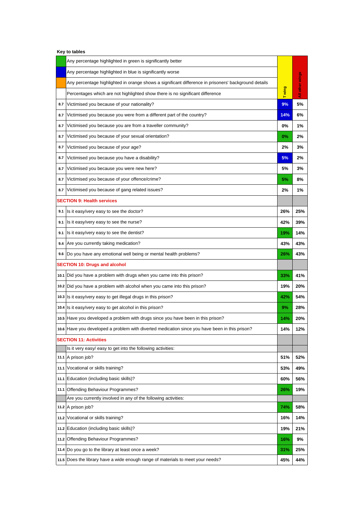| Key to tables |  |  |  |
|---------------|--|--|--|
|---------------|--|--|--|

|     | Any percentage highlighted in green is significantly better                                          |       |             |
|-----|------------------------------------------------------------------------------------------------------|-------|-------------|
|     | Any percentage highlighted in blue is significantly worse                                            |       |             |
|     | Any percentage highlighted in orange shows a significant difference in prisoners' background details |       | other wings |
|     | Percentages which are not highlighted show there is no significant difference                        | Twing | ā           |
| 8.7 | Victimised you because of your nationality?                                                          | 9%    | 5%          |
| 8.7 | Victimised you because you were from a different part of the country?                                | 14%   | 6%          |
| 8.7 | Victimised you because you are from a traveller community?                                           | 0%    | 1%          |
| 8.7 | Victimised you because of your sexual orientation?                                                   | 0%    | 2%          |
| 8.7 | Victimised you because of your age?                                                                  | 2%    | 3%          |
| 8.7 | Victimised you because you have a disability?                                                        | 5%    | 2%          |
| 8.7 | Victimised you because you were new here?                                                            | 5%    | 3%          |
| 8.7 | Victimised you because of your offence/crime?                                                        | 5%    | 8%          |
| 8.7 | Victimised you because of gang related issues?                                                       | 2%    | 1%          |
|     | <b>SECTION 9: Health services</b>                                                                    |       |             |
| 9.1 | Is it easy/very easy to see the doctor?                                                              | 26%   | 25%         |
| 9.1 | Is it easy/very easy to see the nurse?                                                               | 42%   | 39%         |
| 9.1 | Is it easy/very easy to see the dentist?                                                             | 19%   | 14%         |
|     | 9.4 Are you currently taking medication?                                                             | 43%   | 43%         |
| 9.6 | Do you have any emotional well being or mental health problems?                                      | 26%   | 43%         |
|     | <b>SECTION 10: Drugs and alcohol</b>                                                                 |       |             |
|     | 10.1 Did you have a problem with drugs when you came into this prison?                               | 33%   | 41%         |
|     | 10.2 Did you have a problem with alcohol when you came into this prison?                             | 19%   | 20%         |
|     | 10.3 Is it easy/very easy to get illegal drugs in this prison?                                       | 42%   | 54%         |
|     | 10.4 Is it easy/very easy to get alcohol in this prison?                                             | 9%    | 28%         |
|     | 10.5 Have you developed a problem with drugs since you have been in this prison?                     | 14%   | 20%         |
|     | 10.6 Have you developed a problem with diverted medication since you have been in this prison?       | 14%   | 12%         |
|     | <b>SECTION 11: Activities</b>                                                                        |       |             |
|     | Is it very easy/ easy to get into the following activities:                                          |       |             |
|     | 11.1 A prison job?                                                                                   | 51%   | 52%         |
|     | 11.1 Vocational or skills training?                                                                  | 53%   | 49%         |
|     | 11.1 Education (including basic skills)?                                                             | 60%   | 56%         |
|     | 11.1 Offending Behaviour Programmes?                                                                 | 26%   | 19%         |
|     | Are you currently involved in any of the following activities:<br>11.2 A prison job?                 | 74%   | 58%         |
|     | 11.2 Vocational or skills training?                                                                  | 16%   | 14%         |
|     | 11.2 Education (including basic skills)?                                                             | 19%   | 21%         |
|     | 11.2 Offending Behaviour Programmes?                                                                 | 16%   | 9%          |
|     | 11.4 Do you go to the library at least once a week?                                                  | 31%   | 25%         |
|     | 11.5 Does the library have a wide enough range of materials to meet your needs?                      | 45%   | 44%         |
|     |                                                                                                      |       |             |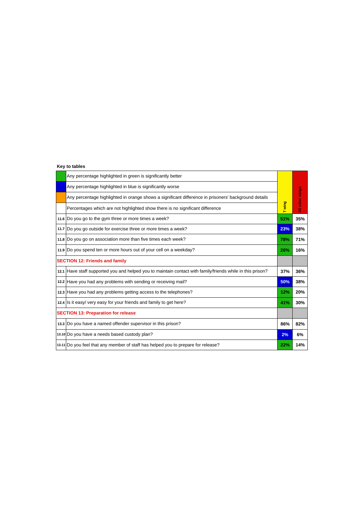## **Key to tables**

|                                       | Any percentage highlighted in green is significantly better                                                |       |                 |
|---------------------------------------|------------------------------------------------------------------------------------------------------------|-------|-----------------|
|                                       | Any percentage highlighted in blue is significantly worse                                                  |       |                 |
|                                       | Any percentage highlighted in orange shows a significant difference in prisoners' background details       |       | All other wings |
|                                       | Percentages which are not highlighted show there is no significant difference                              | Twing |                 |
|                                       | 11.6 Do you go to the gym three or more times a week?                                                      | 51%   | 35%             |
|                                       | 11.7 Do you go outside for exercise three or more times a week?                                            | 23%   | 38%             |
|                                       | 11.8 Do you go on association more than five times each week?                                              | 78%   | 71%             |
|                                       | 11.9 Do you spend ten or more hours out of your cell on a weekday?                                         | 26%   | 16%             |
| <b>SECTION 12: Friends and family</b> |                                                                                                            |       |                 |
|                                       | 12.1 Have staff supported you and helped you to maintain contact with family/friends while in this prison? | 37%   | 36%             |
|                                       | 12.2 Have you had any problems with sending or receiving mail?                                             | 50%   | 38%             |
|                                       | 12.3 Have you had any problems getting access to the telephones?                                           | 12%   | 20%             |
|                                       | 12.4 Is it easy/ very easy for your friends and family to get here?                                        | 41%   | 30%             |
|                                       | <b>SECTION 13: Preparation for release</b>                                                                 |       |                 |
|                                       | 13.3 Do you have a named offender supervisor in this prison?                                               | 86%   | 82%             |
|                                       | 13.10 Do you have a needs based custody plan?                                                              | 2%    | 6%              |
|                                       | 13.11 Do you feel that any member of staff has helped you to prepare for release?                          | 22%   | 14%             |